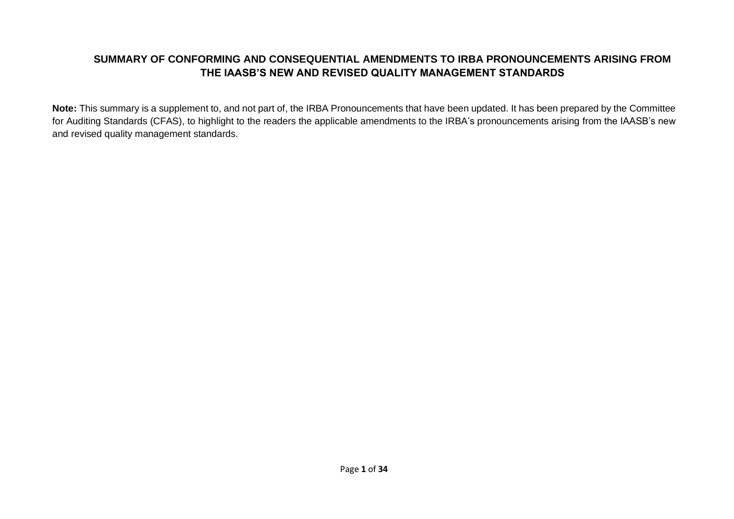## **SUMMARY OF CONFORMING AND CONSEQUENTIAL AMENDMENTS TO IRBA PRONOUNCEMENTS ARISING FROM THE IAASB'S NEW AND REVISED QUALITY MANAGEMENT STANDARDS**

**Note:** This summary is a supplement to, and not part of, the IRBA Pronouncements that have been updated. It has been prepared by the Committee for Auditing Standards (CFAS), to highlight to the readers the applicable amendments to the IRBA's pronouncements arising from the IAASB's new and revised quality management standards.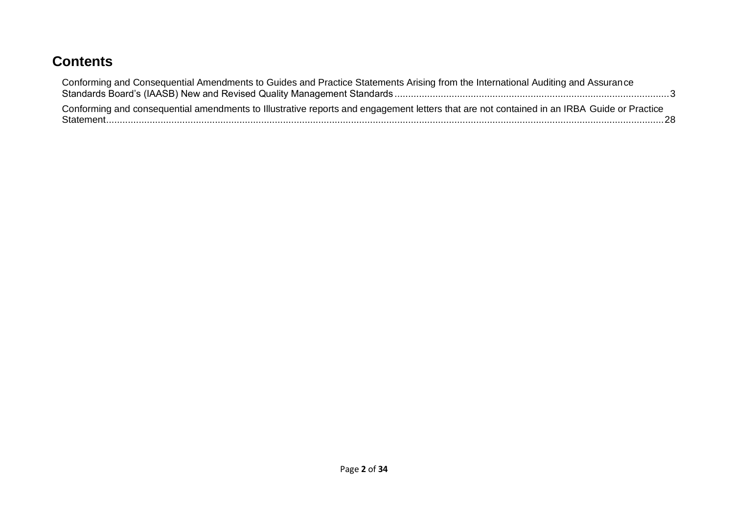## **Contents**

| Conforming and Consequential Amendments to Guides and Practice Statements Arising from the International Auditing and Assurance            |  |
|--------------------------------------------------------------------------------------------------------------------------------------------|--|
| Conforming and consequential amendments to Illustrative reports and engagement letters that are not contained in an IRBA Guide or Practice |  |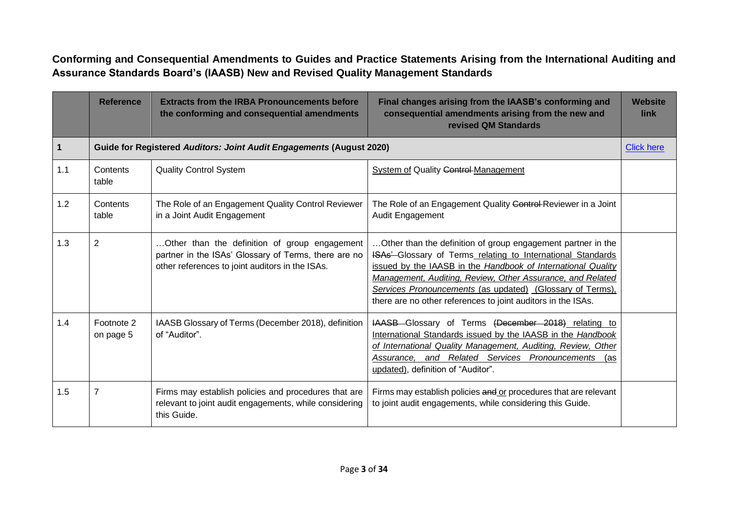<span id="page-2-0"></span>**Conforming and Consequential Amendments to Guides and Practice Statements Arising from the International Auditing and Assurance Standards Board's (IAASB) New and Revised Quality Management Standards**

|     | <b>Reference</b>        | <b>Extracts from the IRBA Pronouncements before</b><br>the conforming and consequential amendments                                                       | Final changes arising from the IAASB's conforming and<br>consequential amendments arising from the new and<br>revised QM Standards                                                                                                                                                                                                                                                     | <b>Website</b><br><b>link</b> |
|-----|-------------------------|----------------------------------------------------------------------------------------------------------------------------------------------------------|----------------------------------------------------------------------------------------------------------------------------------------------------------------------------------------------------------------------------------------------------------------------------------------------------------------------------------------------------------------------------------------|-------------------------------|
| 1   |                         | Guide for Registered Auditors: Joint Audit Engagements (August 2020)                                                                                     |                                                                                                                                                                                                                                                                                                                                                                                        | <b>Click here</b>             |
| 1.1 | Contents<br>table       | <b>Quality Control System</b>                                                                                                                            | <b>System of Quality Control-Management</b>                                                                                                                                                                                                                                                                                                                                            |                               |
| 1.2 | Contents<br>table       | The Role of an Engagement Quality Control Reviewer<br>in a Joint Audit Engagement                                                                        | The Role of an Engagement Quality Control-Reviewer in a Joint<br>Audit Engagement                                                                                                                                                                                                                                                                                                      |                               |
| 1.3 | $\overline{2}$          | Other than the definition of group engagement<br>partner in the ISAs' Glossary of Terms, there are no<br>other references to joint auditors in the ISAs. | Other than the definition of group engagement partner in the<br>ISAs'-Glossary of Terms_relating to International Standards<br>issued by the IAASB in the Handbook of International Quality<br>Management, Auditing, Review, Other Assurance, and Related<br>Services Pronouncements (as updated) (Glossary of Terms),<br>there are no other references to joint auditors in the ISAs. |                               |
| 1.4 | Footnote 2<br>on page 5 | IAASB Glossary of Terms (December 2018), definition<br>of "Auditor".                                                                                     | HAASB Glossary of Terms (December 2018) relating to<br>International Standards issued by the IAASB in the Handbook<br>of International Quality Management, Auditing, Review, Other<br>Assurance, and Related Services Pronouncements (as<br>updated), definition of "Auditor".                                                                                                         |                               |
| 1.5 | $\overline{7}$          | Firms may establish policies and procedures that are<br>relevant to joint audit engagements, while considering<br>this Guide.                            | Firms may establish policies and or procedures that are relevant<br>to joint audit engagements, while considering this Guide.                                                                                                                                                                                                                                                          |                               |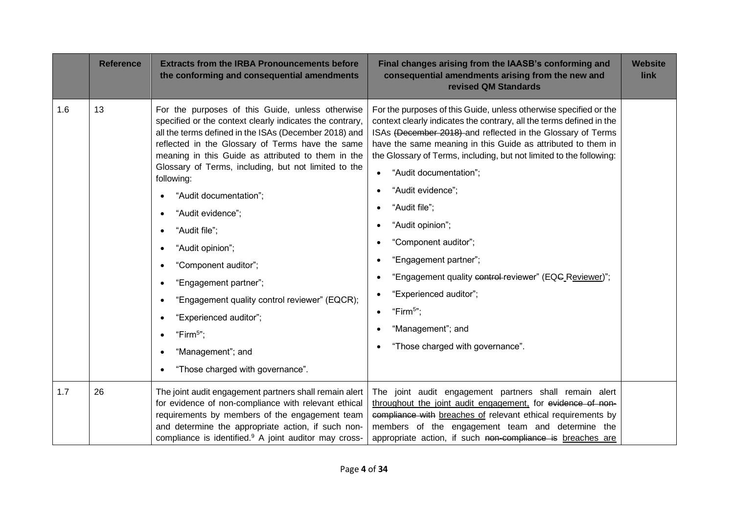|     | <b>Reference</b> | <b>Extracts from the IRBA Pronouncements before</b><br>the conforming and consequential amendments                                                                                                                                                                                                                                                                                                                                                                                                                                                                                                                                                                       | Final changes arising from the IAASB's conforming and<br>consequential amendments arising from the new and<br>revised QM Standards                                                                                                                                                                                                                                                                                                                                                                                                                                                                                                                                      | <b>Website</b><br>link |
|-----|------------------|--------------------------------------------------------------------------------------------------------------------------------------------------------------------------------------------------------------------------------------------------------------------------------------------------------------------------------------------------------------------------------------------------------------------------------------------------------------------------------------------------------------------------------------------------------------------------------------------------------------------------------------------------------------------------|-------------------------------------------------------------------------------------------------------------------------------------------------------------------------------------------------------------------------------------------------------------------------------------------------------------------------------------------------------------------------------------------------------------------------------------------------------------------------------------------------------------------------------------------------------------------------------------------------------------------------------------------------------------------------|------------------------|
| 1.6 | 13               | For the purposes of this Guide, unless otherwise<br>specified or the context clearly indicates the contrary,<br>all the terms defined in the ISAs (December 2018) and<br>reflected in the Glossary of Terms have the same<br>meaning in this Guide as attributed to them in the<br>Glossary of Terms, including, but not limited to the<br>following:<br>"Audit documentation";<br>"Audit evidence";<br>$\bullet$<br>"Audit file";<br>"Audit opinion";<br>"Component auditor";<br>"Engagement partner";<br>"Engagement quality control reviewer" (EQCR);<br>"Experienced auditor";<br>"Firm $5$ ";<br>$\bullet$<br>"Management"; and<br>"Those charged with governance". | For the purposes of this Guide, unless otherwise specified or the<br>context clearly indicates the contrary, all the terms defined in the<br>ISAs (December 2018) and reflected in the Glossary of Terms<br>have the same meaning in this Guide as attributed to them in<br>the Glossary of Terms, including, but not limited to the following:<br>"Audit documentation";<br>"Audit evidence";<br>"Audit file";<br>"Audit opinion";<br>"Component auditor";<br>"Engagement partner";<br>"Engagement quality control-reviewer" (EQC Reviewer)";<br>"Experienced auditor";<br>"Firm <sup>5</sup> ";<br>$\bullet$<br>"Management"; and<br>"Those charged with governance". |                        |
| 1.7 | 26               | The joint audit engagement partners shall remain alert<br>for evidence of non-compliance with relevant ethical<br>requirements by members of the engagement team<br>and determine the appropriate action, if such non-<br>compliance is identified. <sup>9</sup> A joint auditor may cross-                                                                                                                                                                                                                                                                                                                                                                              | The joint audit engagement partners shall remain alert<br>throughout the joint audit engagement, for evidence of non-<br>compliance with breaches of relevant ethical requirements by<br>members of the engagement team and determine the<br>appropriate action, if such non-compliance is breaches are                                                                                                                                                                                                                                                                                                                                                                 |                        |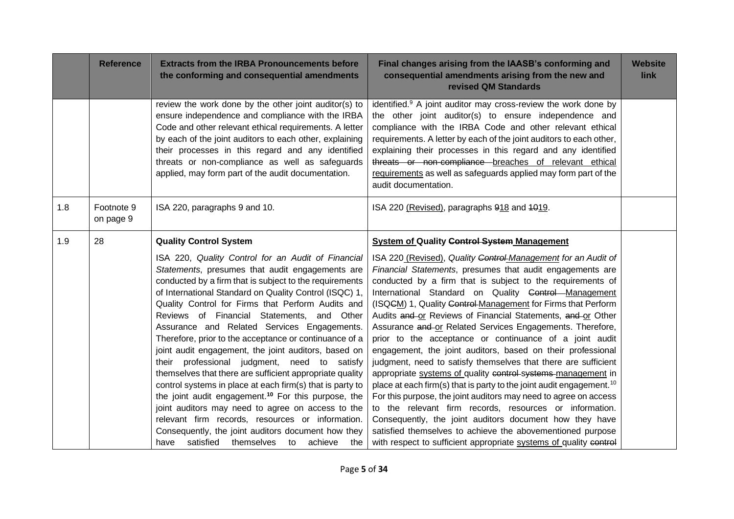|     | <b>Reference</b>        | <b>Extracts from the IRBA Pronouncements before</b><br>the conforming and consequential amendments                                                                                                                                                                                                                                                                                                                                                                                                                                                                                                                                                                                                                                                                                                                               | Final changes arising from the IAASB's conforming and<br>consequential amendments arising from the new and<br>revised QM Standards                                                                                                                                                                                                                                                                                                                                                                                                                                                                                                                                                                                                                                                                                                                                                                                                                                                | <b>Website</b><br>link |
|-----|-------------------------|----------------------------------------------------------------------------------------------------------------------------------------------------------------------------------------------------------------------------------------------------------------------------------------------------------------------------------------------------------------------------------------------------------------------------------------------------------------------------------------------------------------------------------------------------------------------------------------------------------------------------------------------------------------------------------------------------------------------------------------------------------------------------------------------------------------------------------|-----------------------------------------------------------------------------------------------------------------------------------------------------------------------------------------------------------------------------------------------------------------------------------------------------------------------------------------------------------------------------------------------------------------------------------------------------------------------------------------------------------------------------------------------------------------------------------------------------------------------------------------------------------------------------------------------------------------------------------------------------------------------------------------------------------------------------------------------------------------------------------------------------------------------------------------------------------------------------------|------------------------|
|     |                         | review the work done by the other joint auditor(s) to<br>ensure independence and compliance with the IRBA<br>Code and other relevant ethical requirements. A letter<br>by each of the joint auditors to each other, explaining<br>their processes in this regard and any identified<br>threats or non-compliance as well as safeguards<br>applied, may form part of the audit documentation.                                                                                                                                                                                                                                                                                                                                                                                                                                     | identified. <sup>9</sup> A joint auditor may cross-review the work done by<br>the other joint auditor(s) to ensure independence and<br>compliance with the IRBA Code and other relevant ethical<br>requirements. A letter by each of the joint auditors to each other,<br>explaining their processes in this regard and any identified<br>threats or non-compliance breaches of relevant ethical<br>requirements as well as safeguards applied may form part of the<br>audit documentation.                                                                                                                                                                                                                                                                                                                                                                                                                                                                                       |                        |
| 1.8 | Footnote 9<br>on page 9 | ISA 220, paragraphs 9 and 10.                                                                                                                                                                                                                                                                                                                                                                                                                                                                                                                                                                                                                                                                                                                                                                                                    | ISA 220 (Revised), paragraphs 918 and 1019.                                                                                                                                                                                                                                                                                                                                                                                                                                                                                                                                                                                                                                                                                                                                                                                                                                                                                                                                       |                        |
| 1.9 | 28                      | <b>Quality Control System</b><br>ISA 220, Quality Control for an Audit of Financial<br>Statements, presumes that audit engagements are<br>conducted by a firm that is subject to the requirements<br>of International Standard on Quality Control (ISQC) 1,<br>Quality Control for Firms that Perform Audits and<br>Reviews of Financial Statements, and Other<br>Assurance and Related Services Engagements.<br>Therefore, prior to the acceptance or continuance of a<br>joint audit engagement, the joint auditors, based on<br>their professional judgment, need to satisfy<br>themselves that there are sufficient appropriate quality<br>control systems in place at each firm(s) that is party to<br>the joint audit engagement. <sup>10</sup> For this purpose, the<br>joint auditors may need to agree on access to the | <b>System of Quality Control System Management</b><br>ISA 220 (Revised), Quality Control-Management for an Audit of<br>Financial Statements, presumes that audit engagements are<br>conducted by a firm that is subject to the requirements of<br>International Standard on Quality Control Management<br>(ISQCM) 1, Quality Control-Management for Firms that Perform<br>Audits and or Reviews of Financial Statements, and or Other<br>Assurance and or Related Services Engagements. Therefore,<br>prior to the acceptance or continuance of a joint audit<br>engagement, the joint auditors, based on their professional<br>judgment, need to satisfy themselves that there are sufficient<br>appropriate systems of quality control systems management in<br>place at each firm(s) that is party to the joint audit engagement. <sup>10</sup><br>For this purpose, the joint auditors may need to agree on access<br>to the relevant firm records, resources or information. |                        |
|     |                         | relevant firm records, resources or information.<br>Consequently, the joint auditors document how they<br>satisfied themselves<br>have<br>to<br>achieve<br>the                                                                                                                                                                                                                                                                                                                                                                                                                                                                                                                                                                                                                                                                   | Consequently, the joint auditors document how they have<br>satisfied themselves to achieve the abovementioned purpose<br>with respect to sufficient appropriate systems of quality control                                                                                                                                                                                                                                                                                                                                                                                                                                                                                                                                                                                                                                                                                                                                                                                        |                        |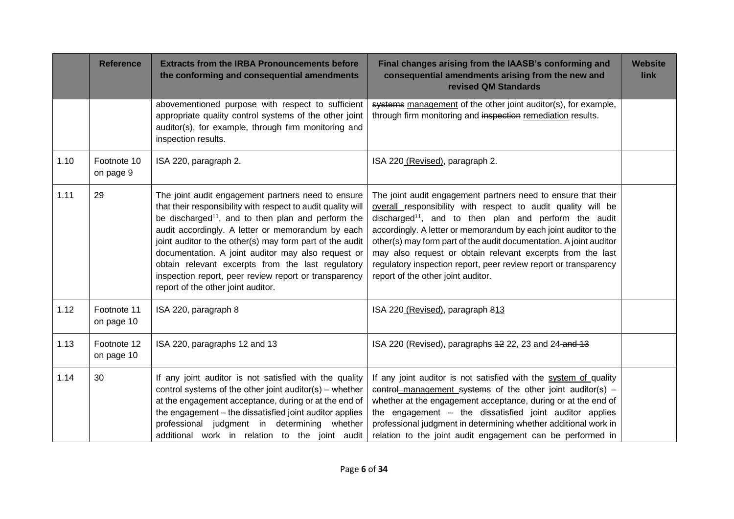|      | <b>Reference</b>          | <b>Extracts from the IRBA Pronouncements before</b><br>the conforming and consequential amendments                                                                                                                                                                                                                                                                                                                                                                                                              | Final changes arising from the IAASB's conforming and<br>consequential amendments arising from the new and<br>revised QM Standards                                                                                                                                                                                                                                                                                                                                                                                   | <b>Website</b><br>link |
|------|---------------------------|-----------------------------------------------------------------------------------------------------------------------------------------------------------------------------------------------------------------------------------------------------------------------------------------------------------------------------------------------------------------------------------------------------------------------------------------------------------------------------------------------------------------|----------------------------------------------------------------------------------------------------------------------------------------------------------------------------------------------------------------------------------------------------------------------------------------------------------------------------------------------------------------------------------------------------------------------------------------------------------------------------------------------------------------------|------------------------|
|      |                           | abovementioned purpose with respect to sufficient<br>appropriate quality control systems of the other joint<br>auditor(s), for example, through firm monitoring and<br>inspection results.                                                                                                                                                                                                                                                                                                                      | systems management of the other joint auditor(s), for example,<br>through firm monitoring and inspection remediation results.                                                                                                                                                                                                                                                                                                                                                                                        |                        |
| 1.10 | Footnote 10<br>on page 9  | ISA 220, paragraph 2.                                                                                                                                                                                                                                                                                                                                                                                                                                                                                           | ISA 220 (Revised), paragraph 2.                                                                                                                                                                                                                                                                                                                                                                                                                                                                                      |                        |
| 1.11 | 29                        | The joint audit engagement partners need to ensure<br>that their responsibility with respect to audit quality will<br>be discharged <sup>11</sup> , and to then plan and perform the<br>audit accordingly. A letter or memorandum by each<br>joint auditor to the other(s) may form part of the audit<br>documentation. A joint auditor may also request or<br>obtain relevant excerpts from the last regulatory<br>inspection report, peer review report or transparency<br>report of the other joint auditor. | The joint audit engagement partners need to ensure that their<br>overall responsibility with respect to audit quality will be<br>discharged <sup>11</sup> , and to then plan and perform the audit<br>accordingly. A letter or memorandum by each joint auditor to the<br>other(s) may form part of the audit documentation. A joint auditor<br>may also request or obtain relevant excerpts from the last<br>regulatory inspection report, peer review report or transparency<br>report of the other joint auditor. |                        |
| 1.12 | Footnote 11<br>on page 10 | ISA 220, paragraph 8                                                                                                                                                                                                                                                                                                                                                                                                                                                                                            | ISA 220 (Revised), paragraph 813                                                                                                                                                                                                                                                                                                                                                                                                                                                                                     |                        |
| 1.13 | Footnote 12<br>on page 10 | ISA 220, paragraphs 12 and 13                                                                                                                                                                                                                                                                                                                                                                                                                                                                                   | ISA 220 (Revised), paragraphs 42 22, 23 and 24 and 13                                                                                                                                                                                                                                                                                                                                                                                                                                                                |                        |
| 1.14 | 30                        | If any joint auditor is not satisfied with the quality<br>control systems of the other joint auditor(s) – whether<br>at the engagement acceptance, during or at the end of<br>the engagement - the dissatisfied joint auditor applies<br>professional judgment in determining whether<br>additional work in relation to the joint audit                                                                                                                                                                         | If any joint auditor is not satisfied with the system of quality<br>$control$ management systems of the other joint auditor(s) –<br>whether at the engagement acceptance, during or at the end of<br>the engagement - the dissatisfied joint auditor applies<br>professional judgment in determining whether additional work in<br>relation to the joint audit engagement can be performed in                                                                                                                        |                        |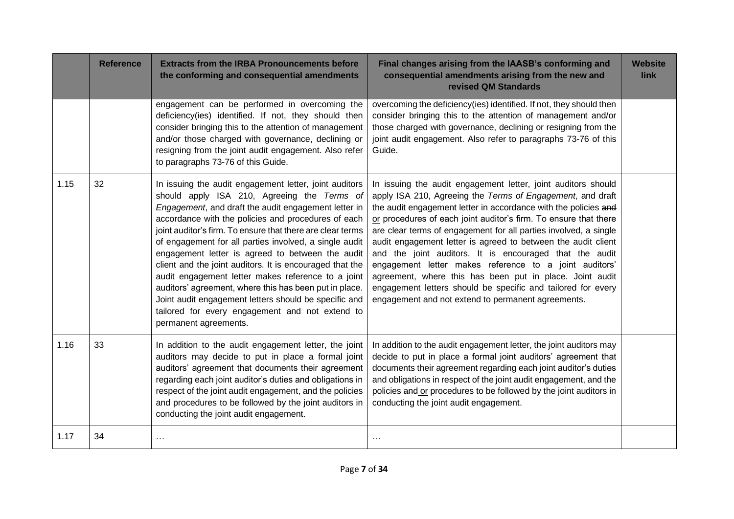|      | <b>Reference</b> | <b>Extracts from the IRBA Pronouncements before</b><br>the conforming and consequential amendments                                                                                                                                                                                                                                                                                                                                                                                                                                                                                                                                                                                                                | Final changes arising from the IAASB's conforming and<br>consequential amendments arising from the new and<br>revised QM Standards                                                                                                                                                                                                                                                                                                                                                                                                                                                                                                                                                                             | <b>Website</b><br>link |
|------|------------------|-------------------------------------------------------------------------------------------------------------------------------------------------------------------------------------------------------------------------------------------------------------------------------------------------------------------------------------------------------------------------------------------------------------------------------------------------------------------------------------------------------------------------------------------------------------------------------------------------------------------------------------------------------------------------------------------------------------------|----------------------------------------------------------------------------------------------------------------------------------------------------------------------------------------------------------------------------------------------------------------------------------------------------------------------------------------------------------------------------------------------------------------------------------------------------------------------------------------------------------------------------------------------------------------------------------------------------------------------------------------------------------------------------------------------------------------|------------------------|
|      |                  | engagement can be performed in overcoming the<br>deficiency(ies) identified. If not, they should then<br>consider bringing this to the attention of management<br>and/or those charged with governance, declining or<br>resigning from the joint audit engagement. Also refer<br>to paragraphs 73-76 of this Guide.                                                                                                                                                                                                                                                                                                                                                                                               | overcoming the deficiency(ies) identified. If not, they should then<br>consider bringing this to the attention of management and/or<br>those charged with governance, declining or resigning from the<br>joint audit engagement. Also refer to paragraphs 73-76 of this<br>Guide.                                                                                                                                                                                                                                                                                                                                                                                                                              |                        |
| 1.15 | 32               | In issuing the audit engagement letter, joint auditors<br>should apply ISA 210, Agreeing the Terms of<br>Engagement, and draft the audit engagement letter in<br>accordance with the policies and procedures of each<br>joint auditor's firm. To ensure that there are clear terms<br>of engagement for all parties involved, a single audit<br>engagement letter is agreed to between the audit<br>client and the joint auditors. It is encouraged that the<br>audit engagement letter makes reference to a joint<br>auditors' agreement, where this has been put in place.<br>Joint audit engagement letters should be specific and<br>tailored for every engagement and not extend to<br>permanent agreements. | In issuing the audit engagement letter, joint auditors should<br>apply ISA 210, Agreeing the Terms of Engagement, and draft<br>the audit engagement letter in accordance with the policies and<br>or procedures of each joint auditor's firm. To ensure that there<br>are clear terms of engagement for all parties involved, a single<br>audit engagement letter is agreed to between the audit client<br>and the joint auditors. It is encouraged that the audit<br>engagement letter makes reference to a joint auditors'<br>agreement, where this has been put in place. Joint audit<br>engagement letters should be specific and tailored for every<br>engagement and not extend to permanent agreements. |                        |
| 1.16 | 33               | In addition to the audit engagement letter, the joint<br>auditors may decide to put in place a formal joint<br>auditors' agreement that documents their agreement<br>regarding each joint auditor's duties and obligations in<br>respect of the joint audit engagement, and the policies<br>and procedures to be followed by the joint auditors in<br>conducting the joint audit engagement.                                                                                                                                                                                                                                                                                                                      | In addition to the audit engagement letter, the joint auditors may<br>decide to put in place a formal joint auditors' agreement that<br>documents their agreement regarding each joint auditor's duties<br>and obligations in respect of the joint audit engagement, and the<br>policies and or procedures to be followed by the joint auditors in<br>conducting the joint audit engagement.                                                                                                                                                                                                                                                                                                                   |                        |
| 1.17 | 34               | $\cdots$                                                                                                                                                                                                                                                                                                                                                                                                                                                                                                                                                                                                                                                                                                          | $\cdots$                                                                                                                                                                                                                                                                                                                                                                                                                                                                                                                                                                                                                                                                                                       |                        |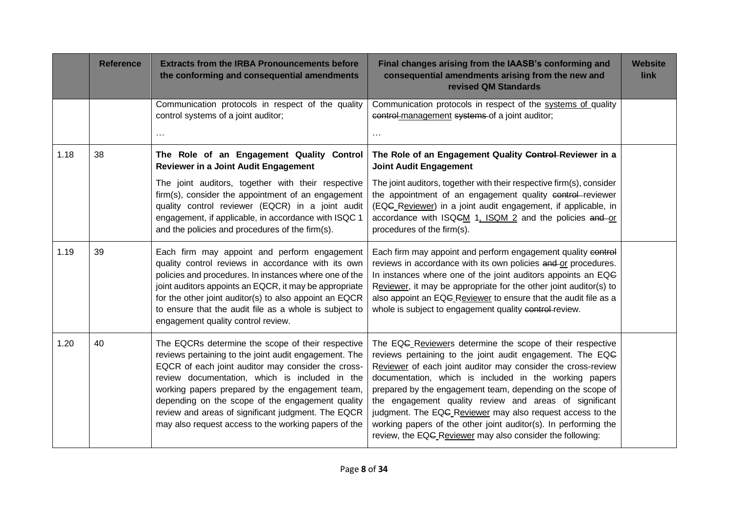|      | <b>Reference</b> | <b>Extracts from the IRBA Pronouncements before</b><br>the conforming and consequential amendments                                                                                                                                                                                                                                                                                                                                      | Final changes arising from the IAASB's conforming and<br>consequential amendments arising from the new and<br>revised QM Standards                                                                                                                                                                                                                                                                                                                                                                                                                                    | <b>Website</b><br>link |
|------|------------------|-----------------------------------------------------------------------------------------------------------------------------------------------------------------------------------------------------------------------------------------------------------------------------------------------------------------------------------------------------------------------------------------------------------------------------------------|-----------------------------------------------------------------------------------------------------------------------------------------------------------------------------------------------------------------------------------------------------------------------------------------------------------------------------------------------------------------------------------------------------------------------------------------------------------------------------------------------------------------------------------------------------------------------|------------------------|
|      |                  | Communication protocols in respect of the quality<br>control systems of a joint auditor;<br>$\cdots$                                                                                                                                                                                                                                                                                                                                    | Communication protocols in respect of the systems of quality<br>control-management systems of a joint auditor;<br>$\cdots$                                                                                                                                                                                                                                                                                                                                                                                                                                            |                        |
| 1.18 | 38               | The Role of an Engagement Quality Control<br>Reviewer in a Joint Audit Engagement                                                                                                                                                                                                                                                                                                                                                       | The Role of an Engagement Quality Control-Reviewer in a<br><b>Joint Audit Engagement</b>                                                                                                                                                                                                                                                                                                                                                                                                                                                                              |                        |
|      |                  | The joint auditors, together with their respective<br>firm(s), consider the appointment of an engagement<br>quality control reviewer (EQCR) in a joint audit<br>engagement, if applicable, in accordance with ISQC 1<br>and the policies and procedures of the firm(s).                                                                                                                                                                 | The joint auditors, together with their respective firm(s), consider<br>the appointment of an engagement quality control-reviewer<br>(EQG_Reviewer) in a joint audit engagement, if applicable, in<br>accordance with ISQCM 1, ISQM 2 and the policies and or<br>procedures of the firm(s).                                                                                                                                                                                                                                                                           |                        |
| 1.19 | 39               | Each firm may appoint and perform engagement<br>quality control reviews in accordance with its own<br>policies and procedures. In instances where one of the<br>joint auditors appoints an EQCR, it may be appropriate<br>for the other joint auditor(s) to also appoint an EQCR<br>to ensure that the audit file as a whole is subject to<br>engagement quality control review.                                                        | Each firm may appoint and perform engagement quality control<br>reviews in accordance with its own policies and or procedures.<br>In instances where one of the joint auditors appoints an EQG<br>Reviewer, it may be appropriate for the other joint auditor(s) to<br>also appoint an EQG Reviewer to ensure that the audit file as a<br>whole is subject to engagement quality control-review.                                                                                                                                                                      |                        |
| 1.20 | 40               | The EQCRs determine the scope of their respective<br>reviews pertaining to the joint audit engagement. The<br>EQCR of each joint auditor may consider the cross-<br>review documentation, which is included in the<br>working papers prepared by the engagement team,<br>depending on the scope of the engagement quality<br>review and areas of significant judgment. The EQCR<br>may also request access to the working papers of the | The EQG Reviewers determine the scope of their respective<br>reviews pertaining to the joint audit engagement. The EQG<br>Reviewer of each joint auditor may consider the cross-review<br>documentation, which is included in the working papers<br>prepared by the engagement team, depending on the scope of<br>the engagement quality review and areas of significant<br>judgment. The EQG_Reviewer may also request access to the<br>working papers of the other joint auditor(s). In performing the<br>review, the EQC Reviewer may also consider the following: |                        |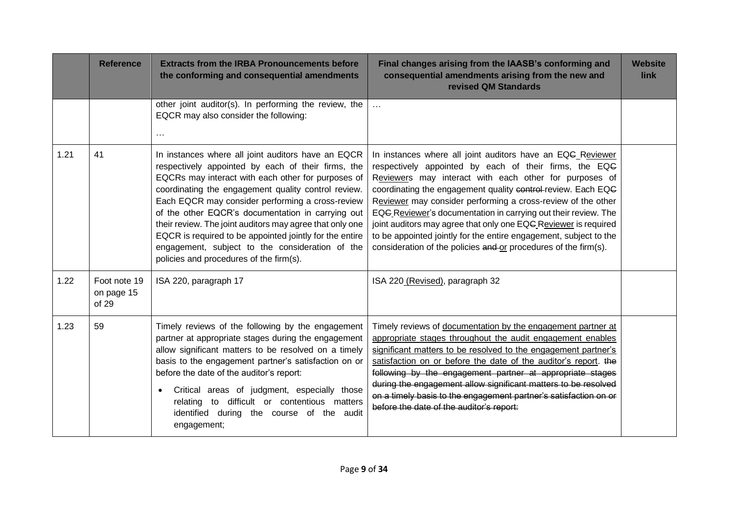|      | <b>Reference</b>                    | <b>Extracts from the IRBA Pronouncements before</b><br>the conforming and consequential amendments                                                                                                                                                                                                                                                                                                                                                                                                                                                  | Final changes arising from the IAASB's conforming and<br>consequential amendments arising from the new and<br>revised QM Standards                                                                                                                                                                                                                                                                                                                                                                                                                                                          | <b>Website</b><br>link |
|------|-------------------------------------|-----------------------------------------------------------------------------------------------------------------------------------------------------------------------------------------------------------------------------------------------------------------------------------------------------------------------------------------------------------------------------------------------------------------------------------------------------------------------------------------------------------------------------------------------------|---------------------------------------------------------------------------------------------------------------------------------------------------------------------------------------------------------------------------------------------------------------------------------------------------------------------------------------------------------------------------------------------------------------------------------------------------------------------------------------------------------------------------------------------------------------------------------------------|------------------------|
|      |                                     | other joint auditor(s). In performing the review, the<br>EQCR may also consider the following:<br>$\cdots$                                                                                                                                                                                                                                                                                                                                                                                                                                          | $\ddotsc$                                                                                                                                                                                                                                                                                                                                                                                                                                                                                                                                                                                   |                        |
| 1.21 | 41                                  | In instances where all joint auditors have an EQCR<br>respectively appointed by each of their firms, the<br>EQCRs may interact with each other for purposes of<br>coordinating the engagement quality control review.<br>Each EQCR may consider performing a cross-review<br>of the other EQCR's documentation in carrying out<br>their review. The joint auditors may agree that only one<br>EQCR is required to be appointed jointly for the entire<br>engagement, subject to the consideration of the<br>policies and procedures of the firm(s). | In instances where all joint auditors have an EQG_Reviewer<br>respectively appointed by each of their firms, the EQG<br>Reviewers may interact with each other for purposes of<br>coordinating the engagement quality control-review. Each EQG<br>Reviewer may consider performing a cross-review of the other<br>EQG Reviewer's documentation in carrying out their review. The<br>joint auditors may agree that only one EQC Reviewer is required<br>to be appointed jointly for the entire engagement, subject to the<br>consideration of the policies and or procedures of the firm(s). |                        |
| 1.22 | Foot note 19<br>on page 15<br>of 29 | ISA 220, paragraph 17                                                                                                                                                                                                                                                                                                                                                                                                                                                                                                                               | ISA 220 (Revised), paragraph 32                                                                                                                                                                                                                                                                                                                                                                                                                                                                                                                                                             |                        |
| 1.23 | 59                                  | Timely reviews of the following by the engagement<br>partner at appropriate stages during the engagement<br>allow significant matters to be resolved on a timely<br>basis to the engagement partner's satisfaction on or<br>before the date of the auditor's report:<br>Critical areas of judgment, especially those<br>to difficult or contentious matters<br>relating<br>identified during the course of the audit<br>engagement;                                                                                                                 | Timely reviews of documentation by the engagement partner at<br>appropriate stages throughout the audit engagement enables<br>significant matters to be resolved to the engagement partner's<br>satisfaction on or before the date of the auditor's report. the<br>following by the engagement partner at appropriate stages<br>during the engagement allow significant matters to be resolved<br>on a timely basis to the engagement partner's satisfaction on or<br>before the date of the auditor's report:                                                                              |                        |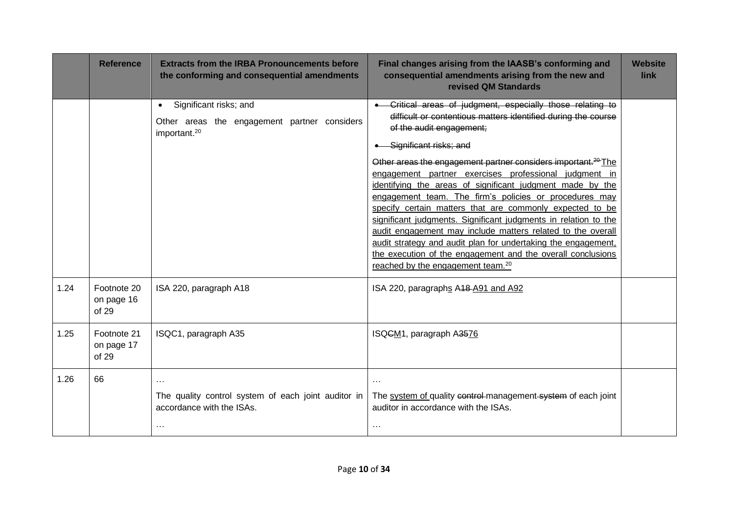|      | <b>Reference</b>                   | <b>Extracts from the IRBA Pronouncements before</b><br>the conforming and consequential amendments | Final changes arising from the IAASB's conforming and<br>consequential amendments arising from the new and<br>revised QM Standards | <b>Website</b><br>link |
|------|------------------------------------|----------------------------------------------------------------------------------------------------|------------------------------------------------------------------------------------------------------------------------------------|------------------------|
|      |                                    | Significant risks; and<br>$\bullet$                                                                | Critical areas of judgment, especially those relating to                                                                           |                        |
|      |                                    | Other areas the engagement partner considers<br>important. <sup>20</sup>                           | difficult or contentious matters identified during the course<br>of the audit engagement;                                          |                        |
|      |                                    |                                                                                                    | Significant risks; and                                                                                                             |                        |
|      |                                    |                                                                                                    | Other areas the engagement partner considers important. <sup>20</sup> The                                                          |                        |
|      |                                    |                                                                                                    | engagement partner exercises professional judgment in<br>identifying the areas of significant judgment made by the                 |                        |
|      |                                    |                                                                                                    | engagement team. The firm's policies or procedures may                                                                             |                        |
|      |                                    |                                                                                                    | specify certain matters that are commonly expected to be                                                                           |                        |
|      |                                    |                                                                                                    | significant judgments. Significant judgments in relation to the<br>audit engagement may include matters related to the overall     |                        |
|      |                                    |                                                                                                    | audit strategy and audit plan for undertaking the engagement.                                                                      |                        |
|      |                                    |                                                                                                    | the execution of the engagement and the overall conclusions                                                                        |                        |
|      |                                    |                                                                                                    | reached by the engagement team. <sup>20</sup>                                                                                      |                        |
| 1.24 | Footnote 20<br>on page 16<br>of 29 | ISA 220, paragraph A18                                                                             | ISA 220, paragraphs A48-A91 and A92                                                                                                |                        |
| 1.25 | Footnote 21<br>on page 17<br>of 29 | ISQC1, paragraph A35                                                                               | ISQCM <sub>1</sub> , paragraph A3576                                                                                               |                        |
| 1.26 | 66                                 |                                                                                                    | $\cdots$                                                                                                                           |                        |
|      |                                    | The quality control system of each joint auditor in<br>accordance with the ISAs.                   | The system of quality control-management system of each joint<br>auditor in accordance with the ISAs.                              |                        |
|      |                                    | $\cdots$                                                                                           | $\cdots$                                                                                                                           |                        |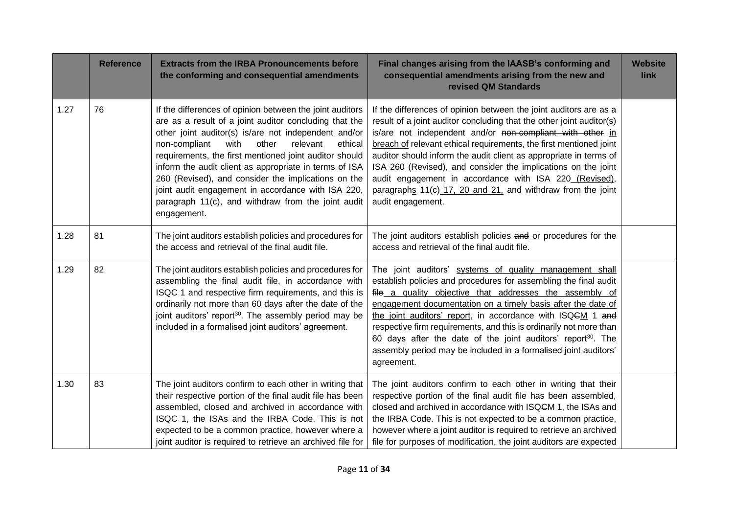|      | <b>Reference</b> | <b>Extracts from the IRBA Pronouncements before</b><br>the conforming and consequential amendments                                                                                                                                                                                                                                                                                                                                                                                                                                        | Final changes arising from the IAASB's conforming and<br>consequential amendments arising from the new and<br>revised QM Standards                                                                                                                                                                                                                                                                                                                                                                                                                               | <b>Website</b><br>link |
|------|------------------|-------------------------------------------------------------------------------------------------------------------------------------------------------------------------------------------------------------------------------------------------------------------------------------------------------------------------------------------------------------------------------------------------------------------------------------------------------------------------------------------------------------------------------------------|------------------------------------------------------------------------------------------------------------------------------------------------------------------------------------------------------------------------------------------------------------------------------------------------------------------------------------------------------------------------------------------------------------------------------------------------------------------------------------------------------------------------------------------------------------------|------------------------|
| 1.27 | 76               | If the differences of opinion between the joint auditors<br>are as a result of a joint auditor concluding that the<br>other joint auditor(s) is/are not independent and/or<br>non-compliant<br>with<br>other<br>relevant<br>ethical<br>requirements, the first mentioned joint auditor should<br>inform the audit client as appropriate in terms of ISA<br>260 (Revised), and consider the implications on the<br>joint audit engagement in accordance with ISA 220,<br>paragraph 11(c), and withdraw from the joint audit<br>engagement. | If the differences of opinion between the joint auditors are as a<br>result of a joint auditor concluding that the other joint auditor(s)<br>is/are not independent and/or non-compliant with other in<br>breach of relevant ethical requirements, the first mentioned joint<br>auditor should inform the audit client as appropriate in terms of<br>ISA 260 (Revised), and consider the implications on the joint<br>audit engagement in accordance with ISA 220 (Revised),<br>paragraphs 44(c) 17, 20 and 21, and withdraw from the joint<br>audit engagement. |                        |
| 1.28 | 81               | The joint auditors establish policies and procedures for<br>the access and retrieval of the final audit file.                                                                                                                                                                                                                                                                                                                                                                                                                             | The joint auditors establish policies and or procedures for the<br>access and retrieval of the final audit file.                                                                                                                                                                                                                                                                                                                                                                                                                                                 |                        |
| 1.29 | 82               | The joint auditors establish policies and procedures for<br>assembling the final audit file, in accordance with<br>ISQC 1 and respective firm requirements, and this is<br>ordinarily not more than 60 days after the date of the<br>joint auditors' report <sup>30</sup> . The assembly period may be<br>included in a formalised joint auditors' agreement.                                                                                                                                                                             | The joint auditors' systems of quality management shall<br>establish policies and procedures for assembling the final audit<br>file a quality objective that addresses the assembly of<br>engagement documentation on a timely basis after the date of<br>the joint auditors' report, in accordance with ISQCM 1 and<br>respective firm requirements, and this is ordinarily not more than<br>60 days after the date of the joint auditors' report <sup>30</sup> . The<br>assembly period may be included in a formalised joint auditors'<br>agreement.          |                        |
| 1.30 | 83               | The joint auditors confirm to each other in writing that<br>their respective portion of the final audit file has been<br>assembled, closed and archived in accordance with<br>ISQC 1, the ISAs and the IRBA Code. This is not<br>expected to be a common practice, however where a<br>joint auditor is required to retrieve an archived file for                                                                                                                                                                                          | The joint auditors confirm to each other in writing that their<br>respective portion of the final audit file has been assembled,<br>closed and archived in accordance with ISQ <del>C</del> M 1, the ISAs and<br>the IRBA Code. This is not expected to be a common practice,<br>however where a joint auditor is required to retrieve an archived<br>file for purposes of modification, the joint auditors are expected                                                                                                                                         |                        |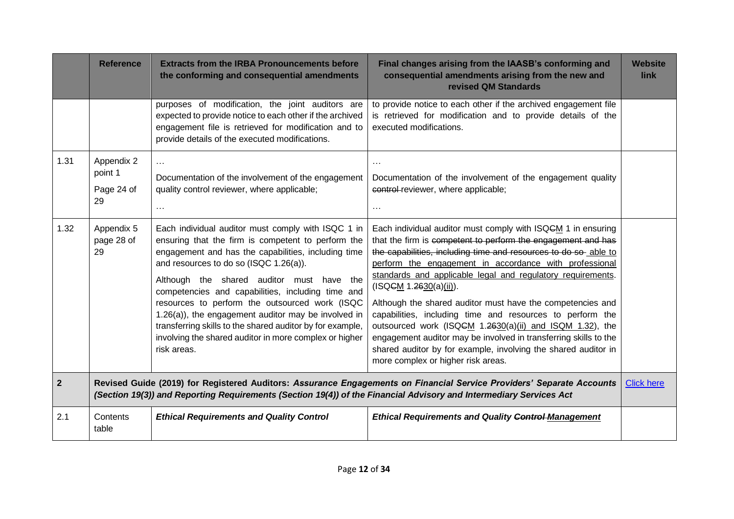|              | <b>Reference</b>                                                                                                                                                                                                                            | <b>Extracts from the IRBA Pronouncements before</b><br>the conforming and consequential amendments                                                                                                                                                                                                                                                                                                                                                                                                                                                         | Final changes arising from the IAASB's conforming and<br>consequential amendments arising from the new and<br>revised QM Standards                                                                                                                                                                                                                                                                                                                                                                                                                                                                                                                                                                                     | <b>Website</b><br>link |
|--------------|---------------------------------------------------------------------------------------------------------------------------------------------------------------------------------------------------------------------------------------------|------------------------------------------------------------------------------------------------------------------------------------------------------------------------------------------------------------------------------------------------------------------------------------------------------------------------------------------------------------------------------------------------------------------------------------------------------------------------------------------------------------------------------------------------------------|------------------------------------------------------------------------------------------------------------------------------------------------------------------------------------------------------------------------------------------------------------------------------------------------------------------------------------------------------------------------------------------------------------------------------------------------------------------------------------------------------------------------------------------------------------------------------------------------------------------------------------------------------------------------------------------------------------------------|------------------------|
|              |                                                                                                                                                                                                                                             | purposes of modification, the joint auditors are<br>expected to provide notice to each other if the archived<br>engagement file is retrieved for modification and to<br>provide details of the executed modifications.                                                                                                                                                                                                                                                                                                                                     | to provide notice to each other if the archived engagement file<br>is retrieved for modification and to provide details of the<br>executed modifications.                                                                                                                                                                                                                                                                                                                                                                                                                                                                                                                                                              |                        |
| 1.31         | Appendix 2<br>point 1<br>Page 24 of<br>29                                                                                                                                                                                                   | $\cdots$<br>Documentation of the involvement of the engagement<br>quality control reviewer, where applicable;<br>$\cdots$                                                                                                                                                                                                                                                                                                                                                                                                                                  | Documentation of the involvement of the engagement quality<br>control-reviewer, where applicable;<br>$\cdots$                                                                                                                                                                                                                                                                                                                                                                                                                                                                                                                                                                                                          |                        |
| 1.32         | Appendix 5<br>page 28 of<br>29                                                                                                                                                                                                              | Each individual auditor must comply with ISQC 1 in<br>ensuring that the firm is competent to perform the<br>engagement and has the capabilities, including time<br>and resources to do so (ISQC 1.26(a)).<br>Although the shared auditor must have the<br>competencies and capabilities, including time and<br>resources to perform the outsourced work (ISQC<br>1.26(a)), the engagement auditor may be involved in<br>transferring skills to the shared auditor by for example,<br>involving the shared auditor in more complex or higher<br>risk areas. | Each individual auditor must comply with ISQCM 1 in ensuring<br>that the firm is competent to perform the engagement and has<br>the capabilities, including time and resources to do so able to<br>perform the engagement in accordance with professional<br>standards and applicable legal and regulatory requirements.<br>(ISQGM 1.2630(a)(iii)).<br>Although the shared auditor must have the competencies and<br>capabilities, including time and resources to perform the<br>outsourced work (ISQCM 1.2630(a)(ii) and ISQM 1.32), the<br>engagement auditor may be involved in transferring skills to the<br>shared auditor by for example, involving the shared auditor in<br>more complex or higher risk areas. |                        |
| $\mathbf{2}$ | Revised Guide (2019) for Registered Auditors: Assurance Engagements on Financial Service Providers' Separate Accounts<br>(Section 19(3)) and Reporting Requirements (Section 19(4)) of the Financial Advisory and Intermediary Services Act |                                                                                                                                                                                                                                                                                                                                                                                                                                                                                                                                                            | <b>Click here</b>                                                                                                                                                                                                                                                                                                                                                                                                                                                                                                                                                                                                                                                                                                      |                        |
| 2.1          | Contents<br>table                                                                                                                                                                                                                           | <b>Ethical Requirements and Quality Control</b>                                                                                                                                                                                                                                                                                                                                                                                                                                                                                                            | <b>Ethical Requirements and Quality Control Management</b>                                                                                                                                                                                                                                                                                                                                                                                                                                                                                                                                                                                                                                                             |                        |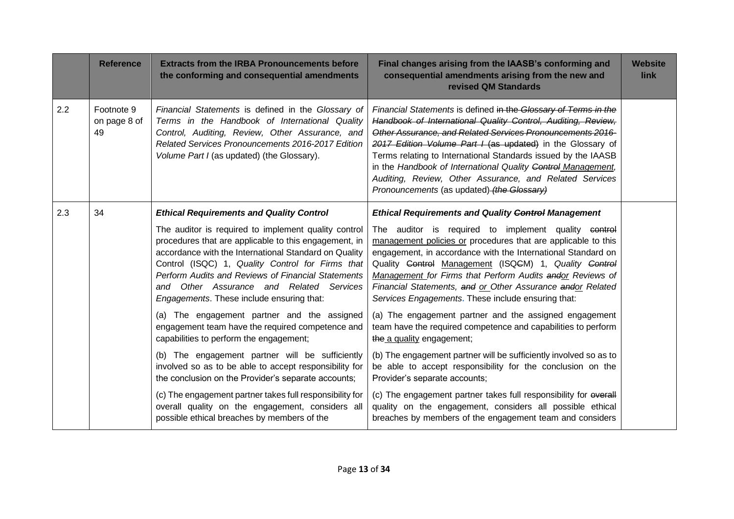|     | <b>Reference</b>                 | <b>Extracts from the IRBA Pronouncements before</b><br>the conforming and consequential amendments                                                                                                                                                                                                                                                                        | Final changes arising from the IAASB's conforming and<br>consequential amendments arising from the new and<br>revised QM Standards                                                                                                                                                                                                                                                                                                                                                                    | <b>Website</b><br>link |
|-----|----------------------------------|---------------------------------------------------------------------------------------------------------------------------------------------------------------------------------------------------------------------------------------------------------------------------------------------------------------------------------------------------------------------------|-------------------------------------------------------------------------------------------------------------------------------------------------------------------------------------------------------------------------------------------------------------------------------------------------------------------------------------------------------------------------------------------------------------------------------------------------------------------------------------------------------|------------------------|
| 2.2 | Footnote 9<br>on page 8 of<br>49 | Financial Statements is defined in the Glossary of<br>Terms in the Handbook of International Quality<br>Control, Auditing, Review, Other Assurance, and<br>Related Services Pronouncements 2016-2017 Edition<br>Volume Part I (as updated) (the Glossary).                                                                                                                | Financial Statements is defined in the Glossary of Terms in the<br>Handbook of International Quality Control, Auditing, Review,<br>Other Assurance, and Related Services Pronouncements 2016-<br>2017 Edition Volume Part I (as updated) in the Glossary of<br>Terms relating to International Standards issued by the IAASB<br>in the Handbook of International Quality Control Management,<br>Auditing, Review, Other Assurance, and Related Services<br>Pronouncements (as updated) (the Glossary) |                        |
| 2.3 | 34                               | <b>Ethical Requirements and Quality Control</b>                                                                                                                                                                                                                                                                                                                           | <b>Ethical Requirements and Quality Control Management</b>                                                                                                                                                                                                                                                                                                                                                                                                                                            |                        |
|     |                                  | The auditor is required to implement quality control<br>procedures that are applicable to this engagement, in<br>accordance with the International Standard on Quality<br>Control (ISQC) 1, Quality Control for Firms that<br>Perform Audits and Reviews of Financial Statements<br>and Other Assurance and Related Services<br>Engagements. These include ensuring that: | The auditor is required to implement quality control<br>management policies or procedures that are applicable to this<br>engagement, in accordance with the International Standard on<br>Quality Control Management (ISQCM) 1, Quality Control<br>Management for Firms that Perform Audits andor Reviews of<br>Financial Statements, and or Other Assurance andor Related<br>Services Engagements. These include ensuring that:                                                                       |                        |
|     |                                  | (a) The engagement partner and the assigned<br>engagement team have the required competence and<br>capabilities to perform the engagement;                                                                                                                                                                                                                                | (a) The engagement partner and the assigned engagement<br>team have the required competence and capabilities to perform<br>the a quality engagement;                                                                                                                                                                                                                                                                                                                                                  |                        |
|     |                                  | (b) The engagement partner will be sufficiently<br>involved so as to be able to accept responsibility for<br>the conclusion on the Provider's separate accounts;                                                                                                                                                                                                          | (b) The engagement partner will be sufficiently involved so as to<br>be able to accept responsibility for the conclusion on the<br>Provider's separate accounts;                                                                                                                                                                                                                                                                                                                                      |                        |
|     |                                  | (c) The engagement partner takes full responsibility for<br>overall quality on the engagement, considers all<br>possible ethical breaches by members of the                                                                                                                                                                                                               | (c) The engagement partner takes full responsibility for everall<br>quality on the engagement, considers all possible ethical<br>breaches by members of the engagement team and considers                                                                                                                                                                                                                                                                                                             |                        |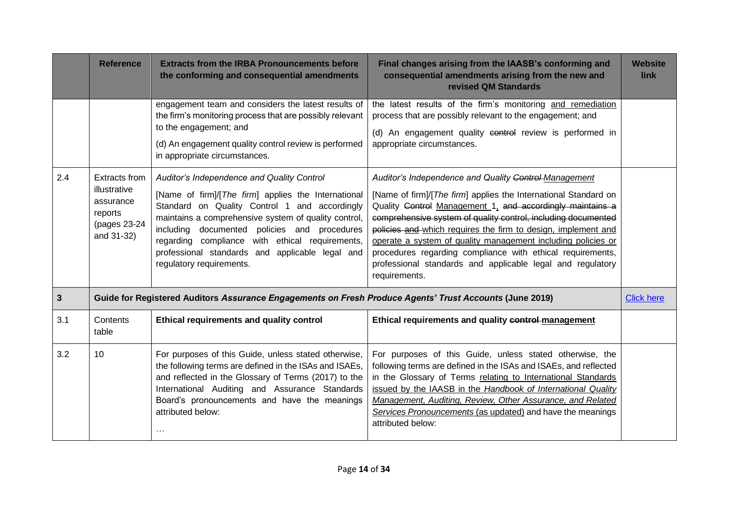|     | <b>Reference</b>                                                                    | <b>Extracts from the IRBA Pronouncements before</b><br>the conforming and consequential amendments                                                                                                                                                                                                                                                                                           | Final changes arising from the IAASB's conforming and<br>consequential amendments arising from the new and<br>revised QM Standards                                                                                                                                                                                                                                                                                                                                                                                                   | <b>Website</b><br>link |
|-----|-------------------------------------------------------------------------------------|----------------------------------------------------------------------------------------------------------------------------------------------------------------------------------------------------------------------------------------------------------------------------------------------------------------------------------------------------------------------------------------------|--------------------------------------------------------------------------------------------------------------------------------------------------------------------------------------------------------------------------------------------------------------------------------------------------------------------------------------------------------------------------------------------------------------------------------------------------------------------------------------------------------------------------------------|------------------------|
|     |                                                                                     | engagement team and considers the latest results of<br>the firm's monitoring process that are possibly relevant<br>to the engagement; and<br>(d) An engagement quality control review is performed<br>in appropriate circumstances.                                                                                                                                                          | the latest results of the firm's monitoring and remediation<br>process that are possibly relevant to the engagement; and<br>(d) An engagement quality control review is performed in<br>appropriate circumstances.                                                                                                                                                                                                                                                                                                                   |                        |
| 2.4 | Extracts from<br>illustrative<br>assurance<br>reports<br>(pages 23-24<br>and 31-32) | Auditor's Independence and Quality Control<br>[Name of firm]/[The firm] applies the International<br>Standard on Quality Control 1 and accordingly<br>maintains a comprehensive system of quality control,<br>including documented policies and procedures<br>regarding compliance with ethical requirements,<br>professional standards and applicable legal and<br>regulatory requirements. | Auditor's Independence and Quality Control Management<br>[Name of firm]/[The firm] applies the International Standard on<br>Quality Control Management 1, and accordingly maintains a<br>comprehensive system of quality control, including documented<br>policies and which requires the firm to design, implement and<br>operate a system of quality management including policies or<br>procedures regarding compliance with ethical requirements,<br>professional standards and applicable legal and regulatory<br>requirements. |                        |
| 3   |                                                                                     | Guide for Registered Auditors Assurance Engagements on Fresh Produce Agents' Trust Accounts (June 2019)                                                                                                                                                                                                                                                                                      |                                                                                                                                                                                                                                                                                                                                                                                                                                                                                                                                      | <b>Click here</b>      |
| 3.1 | Contents<br>table                                                                   | Ethical requirements and quality control                                                                                                                                                                                                                                                                                                                                                     | Ethical requirements and quality control-management                                                                                                                                                                                                                                                                                                                                                                                                                                                                                  |                        |
| 3.2 | 10 <sup>1</sup>                                                                     | For purposes of this Guide, unless stated otherwise,<br>the following terms are defined in the ISAs and ISAEs,<br>and reflected in the Glossary of Terms (2017) to the<br>International Auditing and Assurance Standards<br>Board's pronouncements and have the meanings<br>attributed below:<br>$\cdots$                                                                                    | For purposes of this Guide, unless stated otherwise, the<br>following terms are defined in the ISAs and ISAEs, and reflected<br>in the Glossary of Terms relating to International Standards<br>issued by the IAASB in the Handbook of International Quality<br>Management, Auditing, Review, Other Assurance, and Related<br>Services Pronouncements (as updated) and have the meanings<br>attributed below:                                                                                                                        |                        |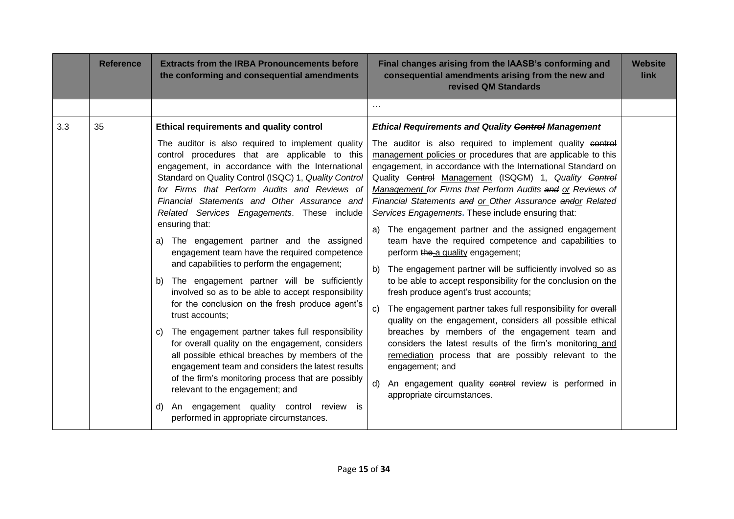|     | <b>Reference</b> | <b>Extracts from the IRBA Pronouncements before</b><br>the conforming and consequential amendments                                                                                                                                                                                                                                                                                                                                                                                                                                                                                                                                                                                                                                                                                                                                                                                                                                                                                                                                                                                                                           | Final changes arising from the IAASB's conforming and<br>consequential amendments arising from the new and<br>revised QM Standards                                                                                                                                                                                                                                                                                                                                                                                                                                                                                                                                                                                                                                                                                                                                                                                                                                                                                                                                                                                                                                                                     | <b>Website</b><br>link |
|-----|------------------|------------------------------------------------------------------------------------------------------------------------------------------------------------------------------------------------------------------------------------------------------------------------------------------------------------------------------------------------------------------------------------------------------------------------------------------------------------------------------------------------------------------------------------------------------------------------------------------------------------------------------------------------------------------------------------------------------------------------------------------------------------------------------------------------------------------------------------------------------------------------------------------------------------------------------------------------------------------------------------------------------------------------------------------------------------------------------------------------------------------------------|--------------------------------------------------------------------------------------------------------------------------------------------------------------------------------------------------------------------------------------------------------------------------------------------------------------------------------------------------------------------------------------------------------------------------------------------------------------------------------------------------------------------------------------------------------------------------------------------------------------------------------------------------------------------------------------------------------------------------------------------------------------------------------------------------------------------------------------------------------------------------------------------------------------------------------------------------------------------------------------------------------------------------------------------------------------------------------------------------------------------------------------------------------------------------------------------------------|------------------------|
|     |                  |                                                                                                                                                                                                                                                                                                                                                                                                                                                                                                                                                                                                                                                                                                                                                                                                                                                                                                                                                                                                                                                                                                                              | $\cdots$                                                                                                                                                                                                                                                                                                                                                                                                                                                                                                                                                                                                                                                                                                                                                                                                                                                                                                                                                                                                                                                                                                                                                                                               |                        |
| 3.3 | 35               | Ethical requirements and quality control                                                                                                                                                                                                                                                                                                                                                                                                                                                                                                                                                                                                                                                                                                                                                                                                                                                                                                                                                                                                                                                                                     | <b>Ethical Requirements and Quality Control Management</b>                                                                                                                                                                                                                                                                                                                                                                                                                                                                                                                                                                                                                                                                                                                                                                                                                                                                                                                                                                                                                                                                                                                                             |                        |
|     |                  | The auditor is also required to implement quality<br>control procedures that are applicable to this<br>engagement, in accordance with the International<br>Standard on Quality Control (ISQC) 1, Quality Control<br>for Firms that Perform Audits and Reviews of<br>Financial Statements and Other Assurance and<br>Related Services Engagements. These include<br>ensuring that:<br>The engagement partner and the assigned<br>a)<br>engagement team have the required competence<br>and capabilities to perform the engagement;<br>The engagement partner will be sufficiently<br>b)<br>involved so as to be able to accept responsibility<br>for the conclusion on the fresh produce agent's<br>trust accounts;<br>The engagement partner takes full responsibility<br>C)<br>for overall quality on the engagement, considers<br>all possible ethical breaches by members of the<br>engagement team and considers the latest results<br>of the firm's monitoring process that are possibly<br>relevant to the engagement; and<br>An engagement quality control review is<br>d)<br>performed in appropriate circumstances. | The auditor is also required to implement quality control<br>management policies or procedures that are applicable to this<br>engagement, in accordance with the International Standard on<br>Quality Control Management (ISQCM) 1, Quality Control<br>Management for Firms that Perform Audits and or Reviews of<br>Financial Statements and or Other Assurance andor Related<br>Services Engagements. These include ensuring that:<br>The engagement partner and the assigned engagement<br>a)<br>team have the required competence and capabilities to<br>perform the a quality engagement;<br>The engagement partner will be sufficiently involved so as<br>b)<br>to be able to accept responsibility for the conclusion on the<br>fresh produce agent's trust accounts;<br>The engagement partner takes full responsibility for everall<br>C)<br>quality on the engagement, considers all possible ethical<br>breaches by members of the engagement team and<br>considers the latest results of the firm's monitoring and<br>remediation process that are possibly relevant to the<br>engagement; and<br>An engagement quality control review is performed in<br>d)<br>appropriate circumstances. |                        |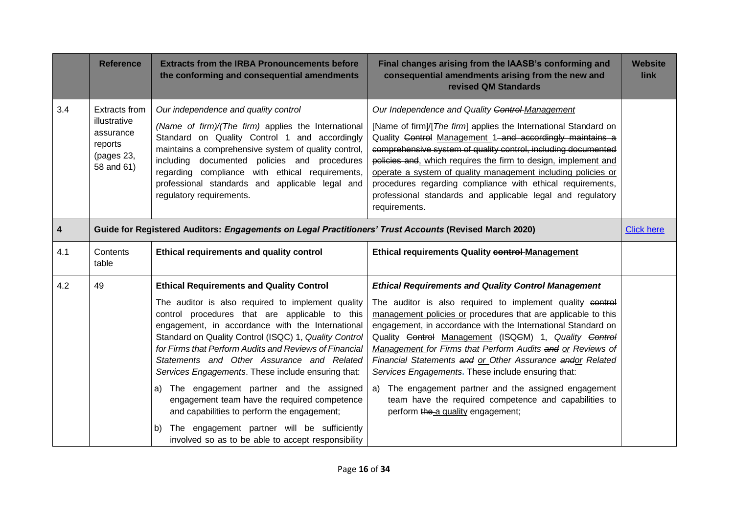|     | <b>Reference</b>                                                                                       | <b>Extracts from the IRBA Pronouncements before</b><br>the conforming and consequential amendments                                                                                                                                                                                                                                                                                                                                                                                                                                                                                                                                                                                        | Final changes arising from the IAASB's conforming and<br>consequential amendments arising from the new and<br>revised QM Standards                                                                                                                                                                                                                                                                                                                                                                                                                                                                                                                        | <b>Website</b><br>link |
|-----|--------------------------------------------------------------------------------------------------------|-------------------------------------------------------------------------------------------------------------------------------------------------------------------------------------------------------------------------------------------------------------------------------------------------------------------------------------------------------------------------------------------------------------------------------------------------------------------------------------------------------------------------------------------------------------------------------------------------------------------------------------------------------------------------------------------|-----------------------------------------------------------------------------------------------------------------------------------------------------------------------------------------------------------------------------------------------------------------------------------------------------------------------------------------------------------------------------------------------------------------------------------------------------------------------------------------------------------------------------------------------------------------------------------------------------------------------------------------------------------|------------------------|
| 3.4 | <b>Extracts from</b><br>illustrative<br>assurance<br>reports<br>(pages 23,<br>58 and 61)               | Our independence and quality control<br>(Name of firm)/(The firm) applies the International<br>Standard on Quality Control 1 and accordingly<br>maintains a comprehensive system of quality control,<br>including documented policies and procedures<br>regarding compliance with ethical requirements,<br>professional standards and applicable legal and<br>regulatory requirements.                                                                                                                                                                                                                                                                                                    | Our Independence and Quality Control-Management<br>[Name of firm]/[The firm] applies the International Standard on<br>Quality Control Management 1 and accordingly maintains a<br>comprehensive system of quality control, including documented<br>policies and, which requires the firm to design, implement and<br>operate a system of quality management including policies or<br>procedures regarding compliance with ethical requirements,<br>professional standards and applicable legal and regulatory<br>requirements.                                                                                                                            |                        |
| 4   | Guide for Registered Auditors: Engagements on Legal Practitioners' Trust Accounts (Revised March 2020) |                                                                                                                                                                                                                                                                                                                                                                                                                                                                                                                                                                                                                                                                                           |                                                                                                                                                                                                                                                                                                                                                                                                                                                                                                                                                                                                                                                           | <b>Click here</b>      |
| 4.1 | Contents<br>table                                                                                      | Ethical requirements and quality control                                                                                                                                                                                                                                                                                                                                                                                                                                                                                                                                                                                                                                                  | <b>Ethical requirements Quality control-Management</b>                                                                                                                                                                                                                                                                                                                                                                                                                                                                                                                                                                                                    |                        |
| 4.2 | 49                                                                                                     | <b>Ethical Requirements and Quality Control</b><br>The auditor is also required to implement quality<br>control procedures that are applicable to this<br>engagement, in accordance with the International<br>Standard on Quality Control (ISQC) 1, Quality Control<br>for Firms that Perform Audits and Reviews of Financial<br>Statements and Other Assurance and Related<br>Services Engagements. These include ensuring that:<br>a) The engagement partner and the assigned<br>engagement team have the required competence<br>and capabilities to perform the engagement;<br>The engagement partner will be sufficiently<br>b)<br>involved so as to be able to accept responsibility | <b>Ethical Requirements and Quality Control Management</b><br>The auditor is also required to implement quality control<br>management policies or procedures that are applicable to this<br>engagement, in accordance with the International Standard on<br>Quality Control Management (ISQCM) 1, Quality Control<br>Management for Firms that Perform Audits and or Reviews of<br>Financial Statements and or Other Assurance andor Related<br>Services Engagements. These include ensuring that:<br>a) The engagement partner and the assigned engagement<br>team have the required competence and capabilities to<br>perform the a quality engagement; |                        |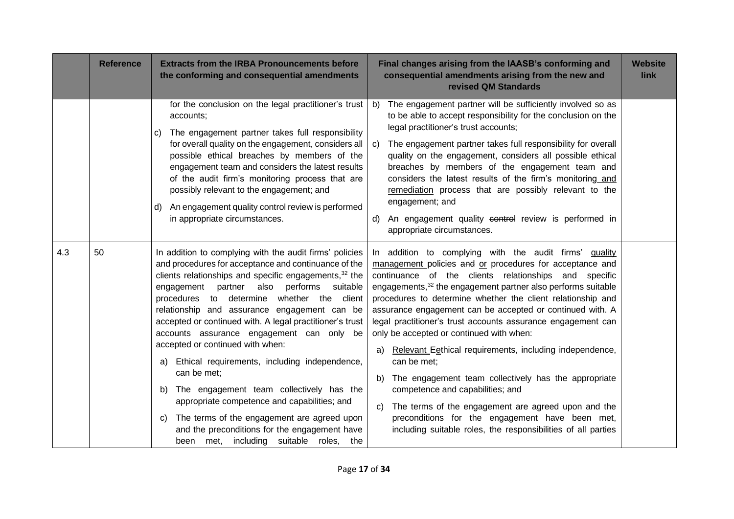|     | <b>Reference</b> | <b>Extracts from the IRBA Pronouncements before</b><br>the conforming and consequential amendments                                                                                                                                                                                                                                                                                                                                                                                                                                                                                                                                                                                                                                                                                                                | Final changes arising from the IAASB's conforming and<br>consequential amendments arising from the new and<br>revised QM Standards                                                                                                                                                                                                                                                                                                                                                                                                                                                                                                                                                                                                                                                                                                                                 | <b>Website</b><br>link |
|-----|------------------|-------------------------------------------------------------------------------------------------------------------------------------------------------------------------------------------------------------------------------------------------------------------------------------------------------------------------------------------------------------------------------------------------------------------------------------------------------------------------------------------------------------------------------------------------------------------------------------------------------------------------------------------------------------------------------------------------------------------------------------------------------------------------------------------------------------------|--------------------------------------------------------------------------------------------------------------------------------------------------------------------------------------------------------------------------------------------------------------------------------------------------------------------------------------------------------------------------------------------------------------------------------------------------------------------------------------------------------------------------------------------------------------------------------------------------------------------------------------------------------------------------------------------------------------------------------------------------------------------------------------------------------------------------------------------------------------------|------------------------|
|     |                  | for the conclusion on the legal practitioner's trust<br>accounts;<br>The engagement partner takes full responsibility<br>$\mathbf{C}$<br>for overall quality on the engagement, considers all<br>possible ethical breaches by members of the<br>engagement team and considers the latest results<br>of the audit firm's monitoring process that are<br>possibly relevant to the engagement; and<br>An engagement quality control review is performed<br>d)<br>in appropriate circumstances.                                                                                                                                                                                                                                                                                                                       | The engagement partner will be sufficiently involved so as<br>b)<br>to be able to accept responsibility for the conclusion on the<br>legal practitioner's trust accounts;<br>The engagement partner takes full responsibility for everall<br>C)<br>quality on the engagement, considers all possible ethical<br>breaches by members of the engagement team and<br>considers the latest results of the firm's monitoring and<br>remediation process that are possibly relevant to the<br>engagement; and<br>An engagement quality control review is performed in<br>d)<br>appropriate circumstances.                                                                                                                                                                                                                                                                |                        |
| 4.3 | 50               | In addition to complying with the audit firms' policies<br>and procedures for acceptance and continuance of the<br>clients relationships and specific engagements, <sup>32</sup> the<br>partner<br>also<br>performs<br>suitable<br>engagement<br>procedures to determine whether the client<br>relationship and assurance engagement can be<br>accepted or continued with. A legal practitioner's trust<br>accounts assurance engagement can only be<br>accepted or continued with when:<br>Ethical requirements, including independence,<br>a)<br>can be met;<br>The engagement team collectively has the<br>b)<br>appropriate competence and capabilities; and<br>The terms of the engagement are agreed upon<br>C)<br>and the preconditions for the engagement have<br>been met, including suitable roles, the | In addition to complying with the audit firms' quality<br>management policies and or procedures for acceptance and<br>continuance of the clients relationships and specific<br>engagements, <sup>32</sup> the engagement partner also performs suitable<br>procedures to determine whether the client relationship and<br>assurance engagement can be accepted or continued with. A<br>legal practitioner's trust accounts assurance engagement can<br>only be accepted or continued with when:<br>Relevant Eethical requirements, including independence,<br>a)<br>can be met:<br>The engagement team collectively has the appropriate<br>b)<br>competence and capabilities; and<br>The terms of the engagement are agreed upon and the<br>C)<br>preconditions for the engagement have been met,<br>including suitable roles, the responsibilities of all parties |                        |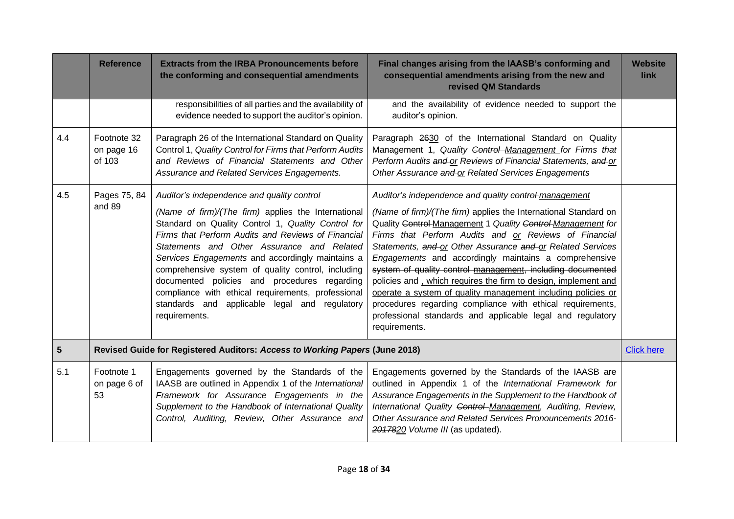|     | <b>Reference</b>                    | <b>Extracts from the IRBA Pronouncements before</b><br>the conforming and consequential amendments                                                                                                                                                                                                                                                                                                                                                                                                                                               | Final changes arising from the IAASB's conforming and<br>consequential amendments arising from the new and<br>revised QM Standards                                                                                                                                                                                                                                                                                                                                                                                                                                                                                                                                                                                    | <b>Website</b><br><b>link</b> |
|-----|-------------------------------------|--------------------------------------------------------------------------------------------------------------------------------------------------------------------------------------------------------------------------------------------------------------------------------------------------------------------------------------------------------------------------------------------------------------------------------------------------------------------------------------------------------------------------------------------------|-----------------------------------------------------------------------------------------------------------------------------------------------------------------------------------------------------------------------------------------------------------------------------------------------------------------------------------------------------------------------------------------------------------------------------------------------------------------------------------------------------------------------------------------------------------------------------------------------------------------------------------------------------------------------------------------------------------------------|-------------------------------|
|     |                                     | responsibilities of all parties and the availability of<br>evidence needed to support the auditor's opinion.                                                                                                                                                                                                                                                                                                                                                                                                                                     | and the availability of evidence needed to support the<br>auditor's opinion.                                                                                                                                                                                                                                                                                                                                                                                                                                                                                                                                                                                                                                          |                               |
| 4.4 | Footnote 32<br>on page 16<br>of 103 | Paragraph 26 of the International Standard on Quality<br>Control 1, Quality Control for Firms that Perform Audits<br>and Reviews of Financial Statements and Other<br>Assurance and Related Services Engagements.                                                                                                                                                                                                                                                                                                                                | Paragraph 2630 of the International Standard on Quality<br>Management 1, Quality Control-Management for Firms that<br>Perform Audits and or Reviews of Financial Statements, and or<br>Other Assurance and or Related Services Engagements                                                                                                                                                                                                                                                                                                                                                                                                                                                                            |                               |
| 4.5 | Pages 75, 84<br>and 89              | Auditor's independence and quality control<br>(Name of firm)/(The firm) applies the International<br>Standard on Quality Control 1, Quality Control for<br>Firms that Perform Audits and Reviews of Financial<br>Statements and Other Assurance and Related<br>Services Engagements and accordingly maintains a<br>comprehensive system of quality control, including<br>documented policies and procedures regarding<br>compliance with ethical requirements, professional<br>standards and applicable legal and<br>regulatory<br>requirements. | Auditor's independence and quality control-management<br>(Name of firm)/(The firm) applies the International Standard on<br>Quality Control Management 1 Quality Control Management for<br>Firms that Perform Audits and or Reviews of Financial<br>Statements, and or Other Assurance and or Related Services<br>Engagements and accordingly maintains a comprehensive<br>system of quality control management, including documented<br>policies and , which requires the firm to design, implement and<br>operate a system of quality management including policies or<br>procedures regarding compliance with ethical requirements,<br>professional standards and applicable legal and regulatory<br>requirements. |                               |
| 5   |                                     | Revised Guide for Registered Auditors: Access to Working Papers (June 2018)                                                                                                                                                                                                                                                                                                                                                                                                                                                                      |                                                                                                                                                                                                                                                                                                                                                                                                                                                                                                                                                                                                                                                                                                                       | <b>Click here</b>             |
| 5.1 | Footnote 1<br>on page 6 of<br>53    | Engagements governed by the Standards of the<br>IAASB are outlined in Appendix 1 of the International<br>Framework for Assurance Engagements in the<br>Supplement to the Handbook of International Quality<br>Control, Auditing, Review, Other Assurance and                                                                                                                                                                                                                                                                                     | Engagements governed by the Standards of the IAASB are<br>outlined in Appendix 1 of the International Framework for<br>Assurance Engagements in the Supplement to the Handbook of<br>International Quality Control-Management, Auditing, Review,<br>Other Assurance and Related Services Pronouncements 2046-<br>2017820 Volume III (as updated).                                                                                                                                                                                                                                                                                                                                                                     |                               |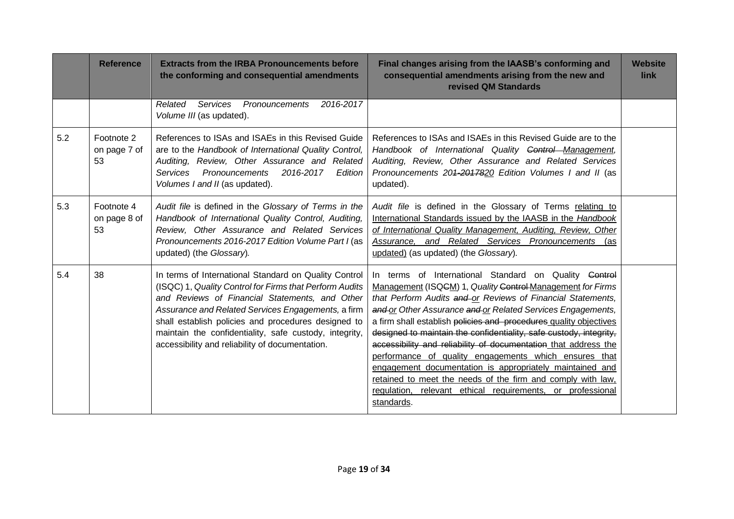|     | <b>Reference</b>                 | <b>Extracts from the IRBA Pronouncements before</b><br>the conforming and consequential amendments                                                                                                                                                                                                                                                                                           | Final changes arising from the IAASB's conforming and<br>consequential amendments arising from the new and<br>revised QM Standards                                                                                                                                                                                                                                                                                                                                                                                                                                                                                                                                                                                              | <b>Website</b><br>link |
|-----|----------------------------------|----------------------------------------------------------------------------------------------------------------------------------------------------------------------------------------------------------------------------------------------------------------------------------------------------------------------------------------------------------------------------------------------|---------------------------------------------------------------------------------------------------------------------------------------------------------------------------------------------------------------------------------------------------------------------------------------------------------------------------------------------------------------------------------------------------------------------------------------------------------------------------------------------------------------------------------------------------------------------------------------------------------------------------------------------------------------------------------------------------------------------------------|------------------------|
|     |                                  | 2016-2017<br>Related<br><b>Services</b><br>Pronouncements<br>Volume III (as updated).                                                                                                                                                                                                                                                                                                        |                                                                                                                                                                                                                                                                                                                                                                                                                                                                                                                                                                                                                                                                                                                                 |                        |
| 5.2 | Footnote 2<br>on page 7 of<br>53 | References to ISAs and ISAEs in this Revised Guide<br>are to the Handbook of International Quality Control,<br>Auditing, Review, Other Assurance and Related<br>2016-2017<br><b>Services</b><br>Pronouncements<br>Edition<br>Volumes I and II (as updated).                                                                                                                                  | References to ISAs and ISAEs in this Revised Guide are to the<br>Handbook of International Quality Control Management,<br>Auditing, Review, Other Assurance and Related Services<br>Pronouncements 204-2017820 Edition Volumes I and II (as<br>updated).                                                                                                                                                                                                                                                                                                                                                                                                                                                                        |                        |
| 5.3 | Footnote 4<br>on page 8 of<br>53 | Audit file is defined in the Glossary of Terms in the<br>Handbook of International Quality Control, Auditing,<br>Review, Other Assurance and Related Services<br>Pronouncements 2016-2017 Edition Volume Part I (as<br>updated) (the Glossary).                                                                                                                                              | Audit file is defined in the Glossary of Terms relating to<br>International Standards issued by the IAASB in the Handbook<br>of International Quality Management, Auditing, Review, Other<br>Assurance, and Related Services Pronouncements (as<br>updated) (as updated) (the Glossary).                                                                                                                                                                                                                                                                                                                                                                                                                                        |                        |
| 5.4 | 38                               | In terms of International Standard on Quality Control<br>(ISQC) 1, Quality Control for Firms that Perform Audits<br>and Reviews of Financial Statements, and Other<br>Assurance and Related Services Engagements, a firm<br>shall establish policies and procedures designed to<br>maintain the confidentiality, safe custody, integrity,<br>accessibility and reliability of documentation. | In terms of International Standard on Quality Control<br>Management (ISQGM) 1, Quality Control Management for Firms<br>that Perform Audits and or Reviews of Financial Statements,<br>and or Other Assurance and or Related Services Engagements,<br>a firm shall establish policies and procedures quality objectives<br>designed to maintain the confidentiality, safe custody, integrity,<br>accessibility and reliability of documentation that address the<br>performance of quality engagements which ensures that<br>engagement documentation is appropriately maintained and<br>retained to meet the needs of the firm and comply with law,<br>regulation, relevant ethical requirements, or professional<br>standards. |                        |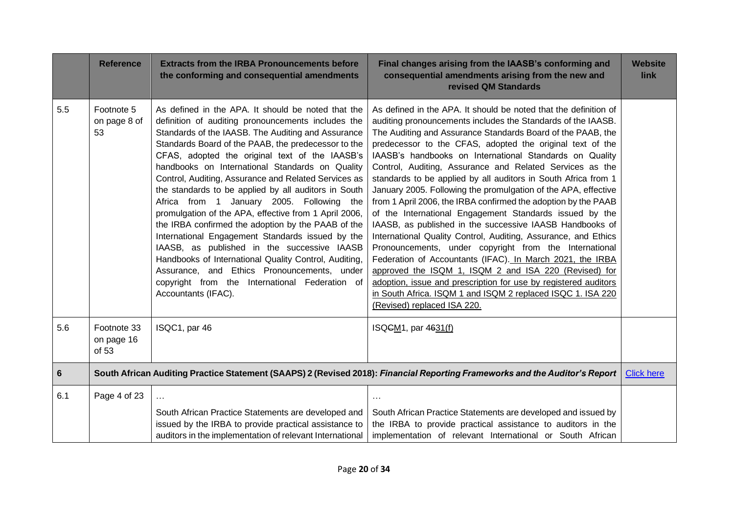|                | <b>Reference</b>                   | <b>Extracts from the IRBA Pronouncements before</b><br>the conforming and consequential amendments                                                                                                                                                                                                                                                                                                                                                                                                                                                                                                                                                                                                                                                                                                                                                                                         | Final changes arising from the IAASB's conforming and<br>consequential amendments arising from the new and<br>revised QM Standards                                                                                                                                                                                                                                                                                                                                                                                                                                                                                                                                                                                                                                                                                                                                                                                                                                                                                                                                                                                                  | <b>Website</b><br>link |
|----------------|------------------------------------|--------------------------------------------------------------------------------------------------------------------------------------------------------------------------------------------------------------------------------------------------------------------------------------------------------------------------------------------------------------------------------------------------------------------------------------------------------------------------------------------------------------------------------------------------------------------------------------------------------------------------------------------------------------------------------------------------------------------------------------------------------------------------------------------------------------------------------------------------------------------------------------------|-------------------------------------------------------------------------------------------------------------------------------------------------------------------------------------------------------------------------------------------------------------------------------------------------------------------------------------------------------------------------------------------------------------------------------------------------------------------------------------------------------------------------------------------------------------------------------------------------------------------------------------------------------------------------------------------------------------------------------------------------------------------------------------------------------------------------------------------------------------------------------------------------------------------------------------------------------------------------------------------------------------------------------------------------------------------------------------------------------------------------------------|------------------------|
| 5.5            | Footnote 5<br>on page 8 of<br>53   | As defined in the APA. It should be noted that the<br>definition of auditing pronouncements includes the<br>Standards of the IAASB. The Auditing and Assurance<br>Standards Board of the PAAB, the predecessor to the<br>CFAS, adopted the original text of the IAASB's<br>handbooks on International Standards on Quality<br>Control, Auditing, Assurance and Related Services as<br>the standards to be applied by all auditors in South<br>Africa from 1 January 2005. Following the<br>promulgation of the APA, effective from 1 April 2006,<br>the IRBA confirmed the adoption by the PAAB of the<br>International Engagement Standards issued by the<br>IAASB, as published in the successive IAASB<br>Handbooks of International Quality Control, Auditing,<br>Assurance, and Ethics Pronouncements, under<br>copyright from the International Federation of<br>Accountants (IFAC). | As defined in the APA. It should be noted that the definition of<br>auditing pronouncements includes the Standards of the IAASB.<br>The Auditing and Assurance Standards Board of the PAAB, the<br>predecessor to the CFAS, adopted the original text of the<br>IAASB's handbooks on International Standards on Quality<br>Control, Auditing, Assurance and Related Services as the<br>standards to be applied by all auditors in South Africa from 1<br>January 2005. Following the promulgation of the APA, effective<br>from 1 April 2006, the IRBA confirmed the adoption by the PAAB<br>of the International Engagement Standards issued by the<br>IAASB, as published in the successive IAASB Handbooks of<br>International Quality Control, Auditing, Assurance, and Ethics<br>Pronouncements, under copyright from the International<br>Federation of Accountants (IFAC). In March 2021, the IRBA<br>approved the ISQM 1, ISQM 2 and ISA 220 (Revised) for<br>adoption, issue and prescription for use by registered auditors<br>in South Africa. ISQM 1 and ISQM 2 replaced ISQC 1. ISA 220<br>(Revised) replaced ISA 220. |                        |
| 5.6            | Footnote 33<br>on page 16<br>of 53 | ISQC1, par 46                                                                                                                                                                                                                                                                                                                                                                                                                                                                                                                                                                                                                                                                                                                                                                                                                                                                              | ISQCM <sub>1</sub> , par 4631(f)                                                                                                                                                                                                                                                                                                                                                                                                                                                                                                                                                                                                                                                                                                                                                                                                                                                                                                                                                                                                                                                                                                    |                        |
| $6\phantom{1}$ |                                    |                                                                                                                                                                                                                                                                                                                                                                                                                                                                                                                                                                                                                                                                                                                                                                                                                                                                                            | South African Auditing Practice Statement (SAAPS) 2 (Revised 2018): Financial Reporting Frameworks and the Auditor's Report                                                                                                                                                                                                                                                                                                                                                                                                                                                                                                                                                                                                                                                                                                                                                                                                                                                                                                                                                                                                         | <b>Click here</b>      |
| 6.1            | Page 4 of 23                       | South African Practice Statements are developed and<br>issued by the IRBA to provide practical assistance to                                                                                                                                                                                                                                                                                                                                                                                                                                                                                                                                                                                                                                                                                                                                                                               | $\sim$ $\sim$<br>South African Practice Statements are developed and issued by<br>the IRBA to provide practical assistance to auditors in the                                                                                                                                                                                                                                                                                                                                                                                                                                                                                                                                                                                                                                                                                                                                                                                                                                                                                                                                                                                       |                        |
|                |                                    | auditors in the implementation of relevant International                                                                                                                                                                                                                                                                                                                                                                                                                                                                                                                                                                                                                                                                                                                                                                                                                                   | implementation of relevant International or South African                                                                                                                                                                                                                                                                                                                                                                                                                                                                                                                                                                                                                                                                                                                                                                                                                                                                                                                                                                                                                                                                           |                        |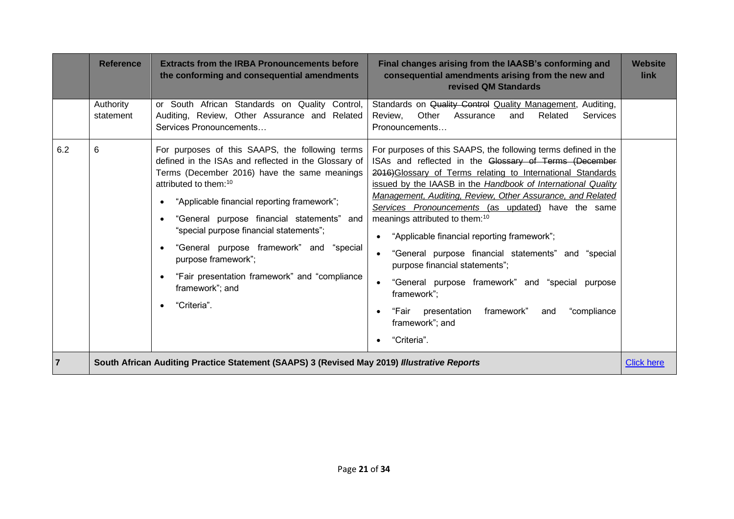|                | <b>Reference</b>       | <b>Extracts from the IRBA Pronouncements before</b><br>the conforming and consequential amendments                                                                                                                                                                                                                                                                                                                                                                                         | Final changes arising from the IAASB's conforming and<br>consequential amendments arising from the new and<br>revised QM Standards                                                                                                                                                                                                                                                                                                                                                                                                                                                                                                                                                                                                 | <b>Website</b><br>link |
|----------------|------------------------|--------------------------------------------------------------------------------------------------------------------------------------------------------------------------------------------------------------------------------------------------------------------------------------------------------------------------------------------------------------------------------------------------------------------------------------------------------------------------------------------|------------------------------------------------------------------------------------------------------------------------------------------------------------------------------------------------------------------------------------------------------------------------------------------------------------------------------------------------------------------------------------------------------------------------------------------------------------------------------------------------------------------------------------------------------------------------------------------------------------------------------------------------------------------------------------------------------------------------------------|------------------------|
|                | Authority<br>statement | or South African Standards on Quality Control,<br>Auditing, Review, Other Assurance and Related<br>Services Pronouncements                                                                                                                                                                                                                                                                                                                                                                 | Standards on Quality Control Quality Management, Auditing,<br>Other<br>Related<br>Services<br>Review.<br>Assurance<br>and<br>Pronouncements                                                                                                                                                                                                                                                                                                                                                                                                                                                                                                                                                                                        |                        |
| 6.2            | 6                      | For purposes of this SAAPS, the following terms<br>defined in the ISAs and reflected in the Glossary of<br>Terms (December 2016) have the same meanings<br>attributed to them: <sup>10</sup><br>"Applicable financial reporting framework";<br>"General purpose financial statements" and<br>"special purpose financial statements";<br>"General purpose framework" and "special<br>purpose framework";<br>"Fair presentation framework" and "compliance<br>framework"; and<br>"Criteria". | For purposes of this SAAPS, the following terms defined in the<br>ISAs and reflected in the Glossary of Terms (December<br>2016) Glossary of Terms relating to International Standards<br>issued by the IAASB in the Handbook of International Quality<br>Management, Auditing, Review, Other Assurance, and Related<br>Services Pronouncements (as updated) have the same<br>meanings attributed to them: <sup>10</sup><br>"Applicable financial reporting framework";<br>"General purpose financial statements" and "special<br>purpose financial statements";<br>"General purpose framework" and "special purpose<br>framework";<br>framework"<br>"Fair<br>presentation<br>"compliance<br>and<br>framework"; and<br>"Criteria". |                        |
| $\overline{7}$ |                        | South African Auditing Practice Statement (SAAPS) 3 (Revised May 2019) Illustrative Reports                                                                                                                                                                                                                                                                                                                                                                                                |                                                                                                                                                                                                                                                                                                                                                                                                                                                                                                                                                                                                                                                                                                                                    | <b>Click here</b>      |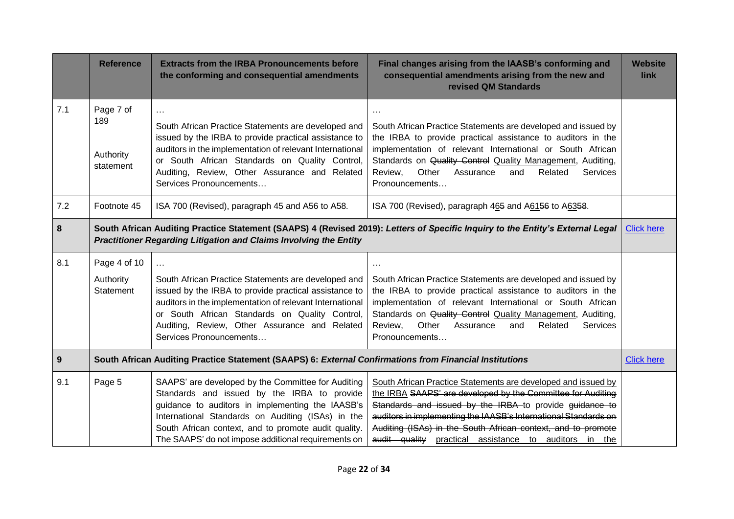|     | <b>Reference</b>                                                                                                                                                                                    | <b>Extracts from the IRBA Pronouncements before</b><br>the conforming and consequential amendments                                                                                                                                                                                                                        | Final changes arising from the IAASB's conforming and<br>consequential amendments arising from the new and<br>revised QM Standards                                                                                                                                                                                                                                                  | <b>Website</b><br>link |
|-----|-----------------------------------------------------------------------------------------------------------------------------------------------------------------------------------------------------|---------------------------------------------------------------------------------------------------------------------------------------------------------------------------------------------------------------------------------------------------------------------------------------------------------------------------|-------------------------------------------------------------------------------------------------------------------------------------------------------------------------------------------------------------------------------------------------------------------------------------------------------------------------------------------------------------------------------------|------------------------|
| 7.1 | Page 7 of<br>189<br>Authority<br>statement                                                                                                                                                          | $\cdots$<br>South African Practice Statements are developed and<br>issued by the IRBA to provide practical assistance to<br>auditors in the implementation of relevant International<br>or South African Standards on Quality Control,<br>Auditing, Review, Other Assurance and Related<br>Services Pronouncements        | $\ldots$<br>South African Practice Statements are developed and issued by<br>the IRBA to provide practical assistance to auditors in the<br>implementation of relevant International or South African<br>Standards on Quality Control Quality Management, Auditing,<br>Other<br>Review,<br>Assurance<br>Related<br>Services<br>and<br>Pronouncements                                |                        |
| 7.2 | Footnote 45                                                                                                                                                                                         | ISA 700 (Revised), paragraph 45 and A56 to A58.                                                                                                                                                                                                                                                                           | ISA 700 (Revised), paragraph 465 and A6156 to A6358.                                                                                                                                                                                                                                                                                                                                |                        |
| 8   | South African Auditing Practice Statement (SAAPS) 4 (Revised 2019): Letters of Specific Inquiry to the Entity's External Legal<br>Practitioner Regarding Litigation and Claims Involving the Entity |                                                                                                                                                                                                                                                                                                                           |                                                                                                                                                                                                                                                                                                                                                                                     | <b>Click here</b>      |
| 8.1 | Page 4 of 10<br>Authority<br>Statement                                                                                                                                                              | $\ldots$<br>South African Practice Statements are developed and<br>issued by the IRBA to provide practical assistance to<br>auditors in the implementation of relevant International<br>or South African Standards on Quality Control,<br>Auditing, Review, Other Assurance and Related<br>Services Pronouncements        | $\sim$ $\sim$ $\sim$<br>South African Practice Statements are developed and issued by<br>the IRBA to provide practical assistance to auditors in the<br>implementation of relevant International or South African<br>Standards on Quality Control Quality Management, Auditing,<br>Other<br>Review,<br>Assurance<br>Related<br>and<br><b>Services</b><br>Pronouncements             |                        |
| 9   |                                                                                                                                                                                                     | South African Auditing Practice Statement (SAAPS) 6: External Confirmations from Financial Institutions                                                                                                                                                                                                                   |                                                                                                                                                                                                                                                                                                                                                                                     | <b>Click here</b>      |
| 9.1 | Page 5                                                                                                                                                                                              | SAAPS' are developed by the Committee for Auditing<br>Standards and issued by the IRBA to provide<br>guidance to auditors in implementing the IAASB's<br>International Standards on Auditing (ISAs) in the<br>South African context, and to promote audit quality.<br>The SAAPS' do not impose additional requirements on | South African Practice Statements are developed and issued by<br>the IRBA SAAPS' are developed by the Committee for Auditing<br>Standards and issued by the IRBA to provide guidance to<br>auditors in implementing the IAASB's International Standards on<br>Auditing (ISAs) in the South African context, and to promote<br>audit quality practical assistance to auditors in the |                        |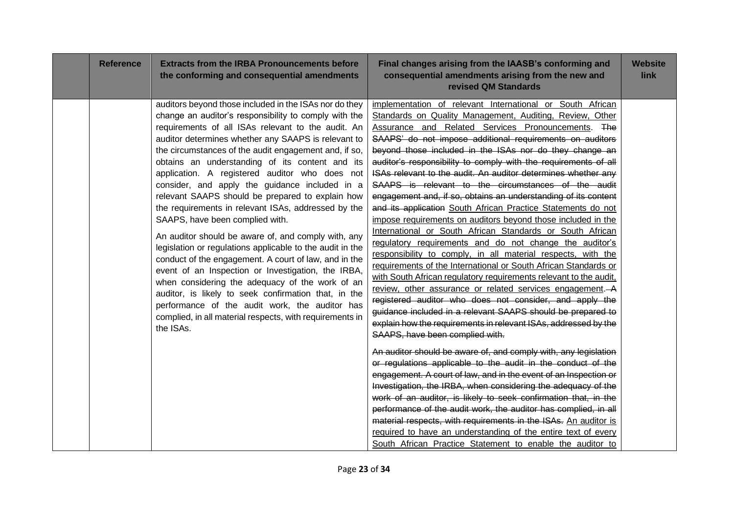| <b>Reference</b> | <b>Extracts from the IRBA Pronouncements before</b><br>the conforming and consequential amendments                                                                                                                                                                                                                                                                                                                                                                                                                                                                                                                                                                                                                                                                                                                                                                                                                                                                                                                                                                  | Final changes arising from the IAASB's conforming and<br>consequential amendments arising from the new and<br>revised QM Standards                                                                                                                                                                                                                                                                                                                                                                                                                                                                                                                                                                                                                                                                                                                                                                                                                                                                                                                                                                                                                                                                                                                                                                                                                                                                                                                                                                                                                                                                                                                                                                                                                                                                                                                                                                                                          | <b>Website</b><br>link |
|------------------|---------------------------------------------------------------------------------------------------------------------------------------------------------------------------------------------------------------------------------------------------------------------------------------------------------------------------------------------------------------------------------------------------------------------------------------------------------------------------------------------------------------------------------------------------------------------------------------------------------------------------------------------------------------------------------------------------------------------------------------------------------------------------------------------------------------------------------------------------------------------------------------------------------------------------------------------------------------------------------------------------------------------------------------------------------------------|---------------------------------------------------------------------------------------------------------------------------------------------------------------------------------------------------------------------------------------------------------------------------------------------------------------------------------------------------------------------------------------------------------------------------------------------------------------------------------------------------------------------------------------------------------------------------------------------------------------------------------------------------------------------------------------------------------------------------------------------------------------------------------------------------------------------------------------------------------------------------------------------------------------------------------------------------------------------------------------------------------------------------------------------------------------------------------------------------------------------------------------------------------------------------------------------------------------------------------------------------------------------------------------------------------------------------------------------------------------------------------------------------------------------------------------------------------------------------------------------------------------------------------------------------------------------------------------------------------------------------------------------------------------------------------------------------------------------------------------------------------------------------------------------------------------------------------------------------------------------------------------------------------------------------------------------|------------------------|
|                  | auditors beyond those included in the ISAs nor do they<br>change an auditor's responsibility to comply with the<br>requirements of all ISAs relevant to the audit. An<br>auditor determines whether any SAAPS is relevant to<br>the circumstances of the audit engagement and, if so,<br>obtains an understanding of its content and its<br>application. A registered auditor who does not<br>consider, and apply the guidance included in a<br>relevant SAAPS should be prepared to explain how<br>the requirements in relevant ISAs, addressed by the<br>SAAPS, have been complied with.<br>An auditor should be aware of, and comply with, any<br>legislation or regulations applicable to the audit in the<br>conduct of the engagement. A court of law, and in the<br>event of an Inspection or Investigation, the IRBA,<br>when considering the adequacy of the work of an<br>auditor, is likely to seek confirmation that, in the<br>performance of the audit work, the auditor has<br>complied, in all material respects, with requirements in<br>the ISAs. | implementation of relevant International or South African<br>Standards on Quality Management, Auditing, Review, Other<br>Assurance and Related Services Pronouncements. The<br>SAAPS' do not impose additional requirements on auditors<br>beyond those included in the ISAs nor do they change an<br>auditor's responsibility to comply with the requirements of all<br>ISAs relevant to the audit. An auditor determines whether any<br>SAAPS is relevant to the circumstances of the audit<br>engagement and, if so, obtains an understanding of its content<br>and its application South African Practice Statements do not<br>impose requirements on auditors beyond those included in the<br>International or South African Standards or South African<br>regulatory requirements and do not change the auditor's<br>responsibility to comply, in all material respects, with the<br>requirements of the International or South African Standards or<br>with South African regulatory requirements relevant to the audit,<br>review, other assurance or related services engagement. A<br>registered auditor who does not consider, and apply the<br>guidance included in a relevant SAAPS should be prepared to<br>explain how the requirements in relevant ISAs, addressed by the<br>SAAPS, have been complied with.<br>An auditor should be aware of, and comply with, any legislation<br>or regulations applicable to the audit in the conduct of the<br>engagement. A court of law, and in the event of an Inspection or<br>Investigation, the IRBA, when considering the adequacy of the<br>work of an auditor, is likely to seek confirmation that, in the<br>performance of the audit work, the auditor has complied, in all<br>material respects, with requirements in the ISAs. An auditor is<br>required to have an understanding of the entire text of every<br>South African Practice Statement to enable the auditor to |                        |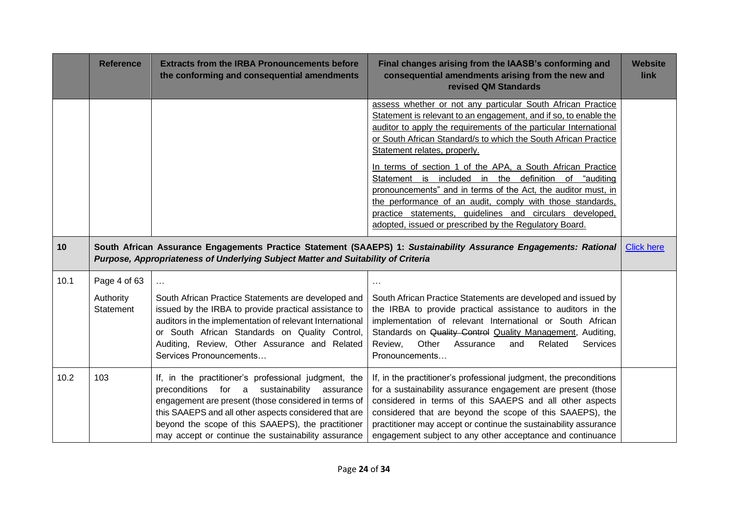|      | <b>Reference</b>                              | <b>Extracts from the IRBA Pronouncements before</b><br>the conforming and consequential amendments                                                                                                                                                                                                                                    | Final changes arising from the IAASB's conforming and<br>consequential amendments arising from the new and<br>revised QM Standards                                                                                                                                                                                                                                                                                                                                                                                                                                                                                                                                                | <b>Website</b><br>link |
|------|-----------------------------------------------|---------------------------------------------------------------------------------------------------------------------------------------------------------------------------------------------------------------------------------------------------------------------------------------------------------------------------------------|-----------------------------------------------------------------------------------------------------------------------------------------------------------------------------------------------------------------------------------------------------------------------------------------------------------------------------------------------------------------------------------------------------------------------------------------------------------------------------------------------------------------------------------------------------------------------------------------------------------------------------------------------------------------------------------|------------------------|
|      |                                               |                                                                                                                                                                                                                                                                                                                                       | assess whether or not any particular South African Practice<br>Statement is relevant to an engagement, and if so, to enable the<br>auditor to apply the requirements of the particular International<br>or South African Standard/s to which the South African Practice<br>Statement relates, properly.<br>In terms of section 1 of the APA, a South African Practice<br>Statement is included in the definition of "auditing<br>pronouncements" and in terms of the Act, the auditor must, in<br>the performance of an audit, comply with those standards,<br>practice statements, guidelines and circulars developed,<br>adopted, issued or prescribed by the Regulatory Board. |                        |
| 10   |                                               | Purpose, Appropriateness of Underlying Subject Matter and Suitability of Criteria                                                                                                                                                                                                                                                     | South African Assurance Engagements Practice Statement (SAAEPS) 1: Sustainability Assurance Engagements: Rational                                                                                                                                                                                                                                                                                                                                                                                                                                                                                                                                                                 | <b>Click here</b>      |
| 10.1 | Page 4 of 63<br>Authority<br><b>Statement</b> | $\sim$ $\sim$<br>South African Practice Statements are developed and<br>issued by the IRBA to provide practical assistance to<br>auditors in the implementation of relevant International<br>or South African Standards on Quality Control,<br>Auditing, Review, Other Assurance and Related<br>Services Pronouncements               | $\cdots$<br>South African Practice Statements are developed and issued by<br>the IRBA to provide practical assistance to auditors in the<br>implementation of relevant International or South African<br>Standards on Quality Control Quality Management, Auditing,<br>Other<br>Review,<br>Assurance<br>Related<br>Services<br>and<br>Pronouncements                                                                                                                                                                                                                                                                                                                              |                        |
| 10.2 | 103                                           | If, in the practitioner's professional judgment, the<br>preconditions for a sustainability<br>assurance<br>engagement are present (those considered in terms of<br>this SAAEPS and all other aspects considered that are<br>beyond the scope of this SAAEPS), the practitioner<br>may accept or continue the sustainability assurance | If, in the practitioner's professional judgment, the preconditions<br>for a sustainability assurance engagement are present (those<br>considered in terms of this SAAEPS and all other aspects<br>considered that are beyond the scope of this SAAEPS), the<br>practitioner may accept or continue the sustainability assurance<br>engagement subject to any other acceptance and continuance                                                                                                                                                                                                                                                                                     |                        |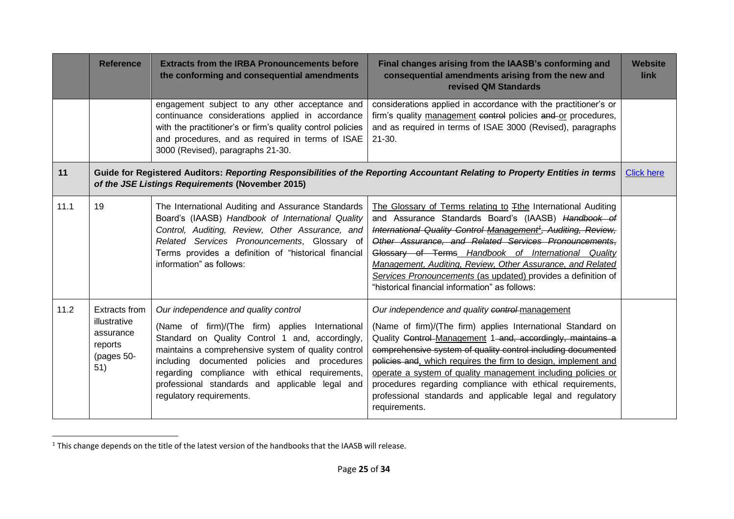|      | <b>Reference</b>                                                           | <b>Extracts from the IRBA Pronouncements before</b><br>the conforming and consequential amendments                                                                                                                                                                                                                                                                                  | Final changes arising from the IAASB's conforming and<br>consequential amendments arising from the new and<br>revised QM Standards                                                                                                                                                                                                                                                                                                                                                                                          | <b>Website</b><br>link |
|------|----------------------------------------------------------------------------|-------------------------------------------------------------------------------------------------------------------------------------------------------------------------------------------------------------------------------------------------------------------------------------------------------------------------------------------------------------------------------------|-----------------------------------------------------------------------------------------------------------------------------------------------------------------------------------------------------------------------------------------------------------------------------------------------------------------------------------------------------------------------------------------------------------------------------------------------------------------------------------------------------------------------------|------------------------|
|      |                                                                            | engagement subject to any other acceptance and<br>continuance considerations applied in accordance<br>with the practitioner's or firm's quality control policies<br>and procedures, and as required in terms of ISAE<br>3000 (Revised), paragraphs 21-30.                                                                                                                           | considerations applied in accordance with the practitioner's or<br>firm's quality management control policies and or procedures,<br>and as required in terms of ISAE 3000 (Revised), paragraphs<br>$21 - 30.$                                                                                                                                                                                                                                                                                                               |                        |
| 11   |                                                                            | of the JSE Listings Requirements (November 2015)                                                                                                                                                                                                                                                                                                                                    | Guide for Registered Auditors: Reporting Responsibilities of the Reporting Accountant Relating to Property Entities in terms                                                                                                                                                                                                                                                                                                                                                                                                | <b>Click here</b>      |
| 11.1 | 19                                                                         | The International Auditing and Assurance Standards<br>Board's (IAASB) Handbook of International Quality<br>Control, Auditing, Review, Other Assurance, and<br>Related Services Pronouncements, Glossary of<br>Terms provides a definition of "historical financial<br>information" as follows:                                                                                      | The Glossary of Terms relating to Tthe International Auditing<br>and Assurance Standards Board's (IAASB) Handbook of<br>International Quality Control Management <sup>1</sup> , Auditing, Review,<br>Other Assurance, and Related Services Pronouncements,<br>Glossary of Terms Handbook of International Quality<br>Management, Auditing, Review, Other Assurance, and Related<br>Services Pronouncements (as updated) provides a definition of<br>"historical financial information" as follows:                          |                        |
| 11.2 | Extracts from<br>illustrative<br>assurance<br>reports<br>(pages 50-<br>51) | Our independence and quality control<br>(Name of firm)/(The firm) applies International<br>Standard on Quality Control 1 and, accordingly,<br>maintains a comprehensive system of quality control<br>including documented policies and procedures<br>regarding compliance with ethical requirements,<br>professional standards and applicable legal and<br>regulatory requirements. | Our independence and quality control management<br>(Name of firm)/(The firm) applies International Standard on<br>Quality Control-Management 1-and, accordingly, maintains a<br>comprehensive system of quality control including documented<br>policies and, which requires the firm to design, implement and<br>operate a system of quality management including policies or<br>procedures regarding compliance with ethical requirements,<br>professional standards and applicable legal and regulatory<br>requirements. |                        |

 $1$  This change depends on the title of the latest version of the handbooks that the IAASB will release.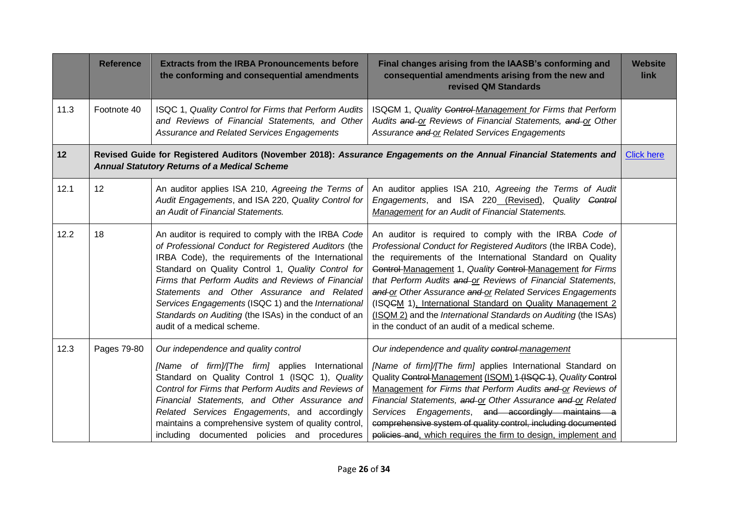|      | <b>Reference</b> | <b>Extracts from the IRBA Pronouncements before</b><br>the conforming and consequential amendments                                                                                                                                                                                                                                                                                                                                                                       | Final changes arising from the IAASB's conforming and<br>consequential amendments arising from the new and<br>revised QM Standards                                                                                                                                                                                                                                                                                                                                                                                                                                 | <b>Website</b><br>link |
|------|------------------|--------------------------------------------------------------------------------------------------------------------------------------------------------------------------------------------------------------------------------------------------------------------------------------------------------------------------------------------------------------------------------------------------------------------------------------------------------------------------|--------------------------------------------------------------------------------------------------------------------------------------------------------------------------------------------------------------------------------------------------------------------------------------------------------------------------------------------------------------------------------------------------------------------------------------------------------------------------------------------------------------------------------------------------------------------|------------------------|
| 11.3 | Footnote 40      | ISQC 1, Quality Control for Firms that Perform Audits<br>and Reviews of Financial Statements, and Other<br>Assurance and Related Services Engagements                                                                                                                                                                                                                                                                                                                    | ISQCM 1, Quality Control-Management for Firms that Perform<br>Audits and or Reviews of Financial Statements, and or Other<br>Assurance and or Related Services Engagements                                                                                                                                                                                                                                                                                                                                                                                         |                        |
| 12   |                  | <b>Annual Statutory Returns of a Medical Scheme</b>                                                                                                                                                                                                                                                                                                                                                                                                                      | Revised Guide for Registered Auditors (November 2018): Assurance Engagements on the Annual Financial Statements and                                                                                                                                                                                                                                                                                                                                                                                                                                                | <b>Click here</b>      |
| 12.1 | 12               | An auditor applies ISA 210, Agreeing the Terms of<br>Audit Engagements, and ISA 220, Quality Control for<br>an Audit of Financial Statements.                                                                                                                                                                                                                                                                                                                            | An auditor applies ISA 210, Agreeing the Terms of Audit<br>Engagements, and ISA 220 (Revised), Quality Control<br><b>Management</b> for an Audit of Financial Statements.                                                                                                                                                                                                                                                                                                                                                                                          |                        |
| 12.2 | 18               | An auditor is required to comply with the IRBA Code<br>of Professional Conduct for Registered Auditors (the<br>IRBA Code), the requirements of the International<br>Standard on Quality Control 1, Quality Control for<br>Firms that Perform Audits and Reviews of Financial<br>Statements and Other Assurance and Related<br>Services Engagements (ISQC 1) and the International<br>Standards on Auditing (the ISAs) in the conduct of an<br>audit of a medical scheme. | An auditor is required to comply with the IRBA Code of<br>Professional Conduct for Registered Auditors (the IRBA Code),<br>the requirements of the International Standard on Quality<br>Control Management 1, Quality Control Management for Firms<br>that Perform Audits and or Reviews of Financial Statements,<br>and or Other Assurance and or Related Services Engagements<br>(ISQCM 1), International Standard on Quality Management 2<br>(ISQM 2) and the International Standards on Auditing (the ISAs)<br>in the conduct of an audit of a medical scheme. |                        |
| 12.3 | Pages 79-80      | Our independence and quality control<br>[Name of firm]/[The firm] applies International<br>Standard on Quality Control 1 (ISQC 1), Quality<br>Control for Firms that Perform Audits and Reviews of<br>Financial Statements, and Other Assurance and<br>Related Services Engagements, and accordingly<br>maintains a comprehensive system of quality control,<br>including documented policies and procedures                                                             | Our independence and quality control-management<br>[Name of firm]/[The firm] applies International Standard on<br>Quality Control Management (ISQM) 1 (ISQC 1), Quality Control<br>Management for Firms that Perform Audits and or Reviews of<br>Financial Statements, and or Other Assurance and or Related<br>Services Engagements, and accordingly maintains a<br>comprehensive system of quality control, including documented<br>policies and, which requires the firm to design, implement and                                                               |                        |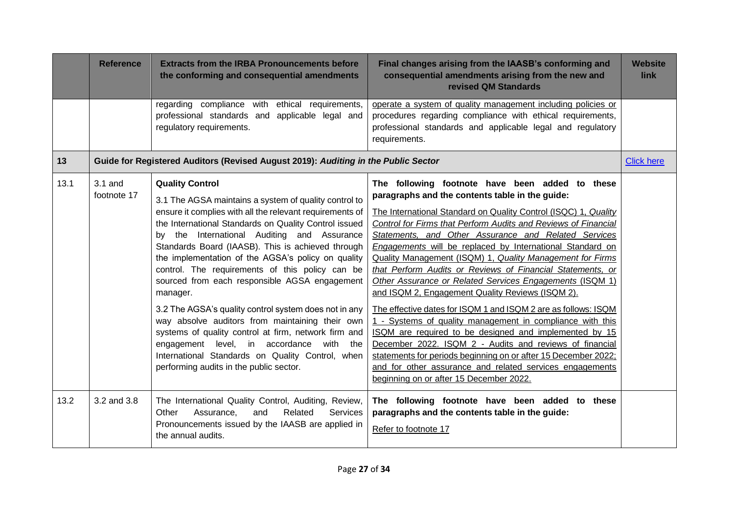|      | <b>Reference</b>         | <b>Extracts from the IRBA Pronouncements before</b><br>the conforming and consequential amendments                                                                                                                                                                                                                                                                                                                                                                                                                                                                                                                                                                                                                                                                                            | Final changes arising from the IAASB's conforming and<br>consequential amendments arising from the new and<br>revised QM Standards                                                                                                                                                                                                                                                                                                                                                                                                                                                                                                                                                                                                                                                                                                                                                                                                                                                                                                   | <b>Website</b><br>link |
|------|--------------------------|-----------------------------------------------------------------------------------------------------------------------------------------------------------------------------------------------------------------------------------------------------------------------------------------------------------------------------------------------------------------------------------------------------------------------------------------------------------------------------------------------------------------------------------------------------------------------------------------------------------------------------------------------------------------------------------------------------------------------------------------------------------------------------------------------|--------------------------------------------------------------------------------------------------------------------------------------------------------------------------------------------------------------------------------------------------------------------------------------------------------------------------------------------------------------------------------------------------------------------------------------------------------------------------------------------------------------------------------------------------------------------------------------------------------------------------------------------------------------------------------------------------------------------------------------------------------------------------------------------------------------------------------------------------------------------------------------------------------------------------------------------------------------------------------------------------------------------------------------|------------------------|
|      |                          | regarding compliance with ethical requirements,<br>professional standards and applicable legal and<br>regulatory requirements.                                                                                                                                                                                                                                                                                                                                                                                                                                                                                                                                                                                                                                                                | operate a system of quality management including policies or<br>procedures regarding compliance with ethical requirements,<br>professional standards and applicable legal and regulatory<br>requirements.                                                                                                                                                                                                                                                                                                                                                                                                                                                                                                                                                                                                                                                                                                                                                                                                                            |                        |
| 13   |                          | Guide for Registered Auditors (Revised August 2019): Auditing in the Public Sector                                                                                                                                                                                                                                                                                                                                                                                                                                                                                                                                                                                                                                                                                                            |                                                                                                                                                                                                                                                                                                                                                                                                                                                                                                                                                                                                                                                                                                                                                                                                                                                                                                                                                                                                                                      | <b>Click here</b>      |
| 13.1 | $3.1$ and<br>footnote 17 | <b>Quality Control</b><br>3.1 The AGSA maintains a system of quality control to<br>ensure it complies with all the relevant requirements of<br>the International Standards on Quality Control issued<br>by the International Auditing and Assurance<br>Standards Board (IAASB). This is achieved through<br>the implementation of the AGSA's policy on quality<br>control. The requirements of this policy can be<br>sourced from each responsible AGSA engagement<br>manager.<br>3.2 The AGSA's quality control system does not in any<br>way absolve auditors from maintaining their own<br>systems of quality control at firm, network firm and<br>engagement level, in accordance with the<br>International Standards on Quality Control, when<br>performing audits in the public sector. | The following footnote have been added to these<br>paragraphs and the contents table in the guide:<br>The International Standard on Quality Control (ISQC) 1, Quality<br>Control for Firms that Perform Audits and Reviews of Financial<br>Statements, and Other Assurance and Related Services<br>Engagements will be replaced by International Standard on<br>Quality Management (ISQM) 1, Quality Management for Firms<br>that Perform Audits or Reviews of Financial Statements, or<br>Other Assurance or Related Services Engagements (ISQM 1)<br>and ISQM 2, Engagement Quality Reviews (ISQM 2).<br>The effective dates for ISQM 1 and ISQM 2 are as follows: ISQM<br>1 - Systems of quality management in compliance with this<br>ISQM are required to be designed and implemented by 15<br>December 2022. ISQM 2 - Audits and reviews of financial<br>statements for periods beginning on or after 15 December 2022;<br>and for other assurance and related services engagements<br>beginning on or after 15 December 2022. |                        |
| 13.2 | 3.2 and 3.8              | The International Quality Control, Auditing, Review,<br>Other<br>Related<br>Services<br>Assurance,<br>and<br>Pronouncements issued by the IAASB are applied in<br>the annual audits.                                                                                                                                                                                                                                                                                                                                                                                                                                                                                                                                                                                                          | The following footnote have been added to these<br>paragraphs and the contents table in the guide:<br>Refer to footnote 17                                                                                                                                                                                                                                                                                                                                                                                                                                                                                                                                                                                                                                                                                                                                                                                                                                                                                                           |                        |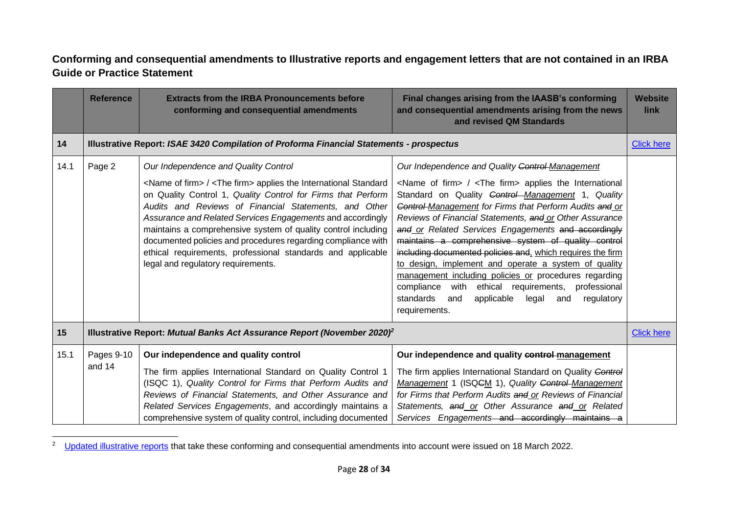## <span id="page-27-0"></span>**Conforming and consequential amendments to Illustrative reports and engagement letters that are not contained in an IRBA Guide or Practice Statement**

|      | <b>Reference</b>     | <b>Extracts from the IRBA Pronouncements before</b><br>conforming and consequential amendments                                                                                                                                                                                                                                                                                                                                                                                                                                                                   | Final changes arising from the IAASB's conforming<br>and consequential amendments arising from the news<br>and revised QM Standards                                                                                                                                                                                                                                                                                                                                                                                                                                                                                                                                                                                                                                                  | <b>Website</b><br>link |
|------|----------------------|------------------------------------------------------------------------------------------------------------------------------------------------------------------------------------------------------------------------------------------------------------------------------------------------------------------------------------------------------------------------------------------------------------------------------------------------------------------------------------------------------------------------------------------------------------------|--------------------------------------------------------------------------------------------------------------------------------------------------------------------------------------------------------------------------------------------------------------------------------------------------------------------------------------------------------------------------------------------------------------------------------------------------------------------------------------------------------------------------------------------------------------------------------------------------------------------------------------------------------------------------------------------------------------------------------------------------------------------------------------|------------------------|
| 14   |                      | <b>Illustrative Report: ISAE 3420 Compilation of Proforma Financial Statements - prospectus</b>                                                                                                                                                                                                                                                                                                                                                                                                                                                                  |                                                                                                                                                                                                                                                                                                                                                                                                                                                                                                                                                                                                                                                                                                                                                                                      | <b>Click here</b>      |
| 14.1 | Page 2               | Our Independence and Quality Control<br><name firm="" of=""> / <the firm=""> applies the International Standard<br/>on Quality Control 1, Quality Control for Firms that Perform<br/>Audits and Reviews of Financial Statements, and Other<br/>Assurance and Related Services Engagements and accordingly<br/>maintains a comprehensive system of quality control including<br/>documented policies and procedures regarding compliance with<br/>ethical requirements, professional standards and applicable<br/>legal and regulatory requirements.</the></name> | Our Independence and Quality Control Management<br><name firm="" of=""> / <the firm=""> applies the International<br/>Standard on Quality <b>Control</b>-Management 1, Quality<br/>Control-Management for Firms that Perform Audits and or<br/>Reviews of Financial Statements, and or Other Assurance<br/>and or Related Services Engagements and accordingly<br/>maintains a comprehensive system of quality control<br/>including documented policies and, which requires the firm<br/>to design, implement and operate a system of quality<br/>management including policies or procedures regarding<br/>with<br/>ethical<br/>compliance<br/>requirements,<br/>professional<br/>standards<br/>applicable<br/>legal<br/>regulatory<br/>and<br/>and<br/>requirements.</the></name> |                        |
| 15   |                      | Illustrative Report: Mutual Banks Act Assurance Report (November 2020) <sup>2</sup>                                                                                                                                                                                                                                                                                                                                                                                                                                                                              |                                                                                                                                                                                                                                                                                                                                                                                                                                                                                                                                                                                                                                                                                                                                                                                      | <b>Click here</b>      |
| 15.1 | Pages 9-10<br>and 14 | Our independence and quality control<br>The firm applies International Standard on Quality Control 1<br>(ISQC 1), Quality Control for Firms that Perform Audits and<br>Reviews of Financial Statements, and Other Assurance and<br>Related Services Engagements, and accordingly maintains a<br>comprehensive system of quality control, including documented                                                                                                                                                                                                    | Our independence and quality control-management<br>The firm applies International Standard on Quality Control<br>Management 1 (ISQCM 1), Quality Control-Management<br>for Firms that Perform Audits and or Reviews of Financial<br>Statements, and or Other Assurance and or Related<br>Services Engagements and accordingly maintains a                                                                                                                                                                                                                                                                                                                                                                                                                                            |                        |

<sup>&</sup>lt;sup>2</sup> [Updated illustrative reports](https://www.irba.co.za/industry-specific-guides-and-regulatory-reports-pages/reports-to-the-prudential-authority-and-the-exchange-control-department) that take these conforming and consequential amendments into account were issued on 18 March 2022.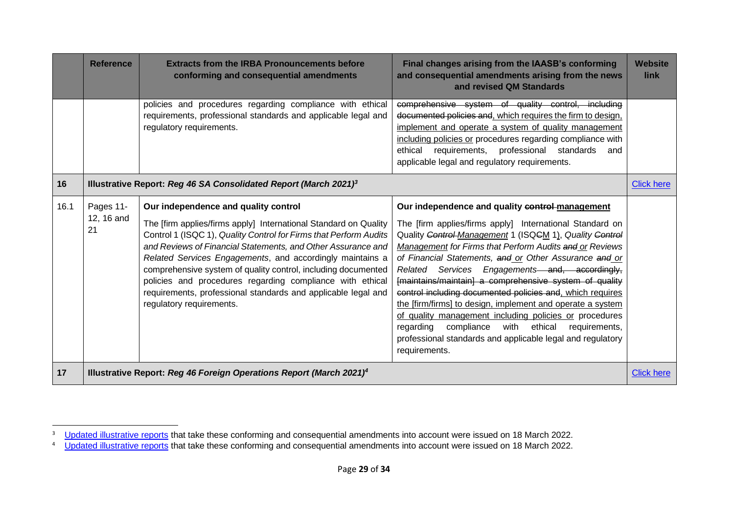|      | <b>Reference</b>                                                                | <b>Extracts from the IRBA Pronouncements before</b><br>conforming and consequential amendments                                                                                                                                                                                                                                                                                                                                                                                                                                        | Final changes arising from the IAASB's conforming<br>and consequential amendments arising from the news<br>and revised QM Standards                                                                                                                                                                                                                                                                                                                                                                                                                                                                                                                                                                                                        | <b>Website</b><br>link |
|------|---------------------------------------------------------------------------------|---------------------------------------------------------------------------------------------------------------------------------------------------------------------------------------------------------------------------------------------------------------------------------------------------------------------------------------------------------------------------------------------------------------------------------------------------------------------------------------------------------------------------------------|--------------------------------------------------------------------------------------------------------------------------------------------------------------------------------------------------------------------------------------------------------------------------------------------------------------------------------------------------------------------------------------------------------------------------------------------------------------------------------------------------------------------------------------------------------------------------------------------------------------------------------------------------------------------------------------------------------------------------------------------|------------------------|
|      |                                                                                 | policies and procedures regarding compliance with ethical<br>requirements, professional standards and applicable legal and<br>regulatory requirements.                                                                                                                                                                                                                                                                                                                                                                                | comprehensive system of quality control, including<br>documented policies and, which requires the firm to design,<br>implement and operate a system of quality management<br>including policies or procedures regarding compliance with<br>professional standards<br>ethical<br>requirements,<br>and<br>applicable legal and regulatory requirements.                                                                                                                                                                                                                                                                                                                                                                                      |                        |
| 16   |                                                                                 | Illustrative Report: Reg 46 SA Consolidated Report (March 2021) <sup>3</sup>                                                                                                                                                                                                                                                                                                                                                                                                                                                          |                                                                                                                                                                                                                                                                                                                                                                                                                                                                                                                                                                                                                                                                                                                                            | <b>Click here</b>      |
| 16.1 | Pages 11-<br>12, 16 and<br>21                                                   | Our independence and quality control<br>The [firm applies/firms apply] International Standard on Quality<br>Control 1 (ISQC 1), Quality Control for Firms that Perform Audits<br>and Reviews of Financial Statements, and Other Assurance and<br>Related Services Engagements, and accordingly maintains a<br>comprehensive system of quality control, including documented<br>policies and procedures regarding compliance with ethical<br>requirements, professional standards and applicable legal and<br>regulatory requirements. | Our independence and quality control-management<br>The [firm applies/firms apply] International Standard on<br>Quality Control-Management 1 (ISQCM 1), Quality Control<br>Management for Firms that Perform Audits and or Reviews<br>of Financial Statements, and or Other Assurance and or<br>Related Services Engagements and, accordingly,<br>[maintains/maintain] a comprehensive system of quality<br>control including documented policies and, which requires<br>the [firm/firms] to design, implement and operate a system<br>of quality management including policies or procedures<br>compliance<br>with<br>ethical<br>regarding<br>requirements,<br>professional standards and applicable legal and regulatory<br>requirements. |                        |
| 17   | Illustrative Report: Reg 46 Foreign Operations Report (March 2021) <sup>4</sup> |                                                                                                                                                                                                                                                                                                                                                                                                                                                                                                                                       | <b>Click here</b>                                                                                                                                                                                                                                                                                                                                                                                                                                                                                                                                                                                                                                                                                                                          |                        |

<sup>&</sup>lt;sup>3</sup> [Updated illustrative reports](https://www.irba.co.za/industry-specific-guides-and-regulatory-reports-pages/reports-to-the-prudential-authority-and-the-exchange-control-department)</u> that take these conforming and consequential amendments into account were issued on 18 March 2022.

<sup>&</sup>lt;sup>4</sup> [Updated illustrative reports](https://www.irba.co.za/industry-specific-guides-and-regulatory-reports-pages/reports-to-the-prudential-authority-and-the-exchange-control-department) that take these conforming and consequential amendments into account were issued on 18 March 2022.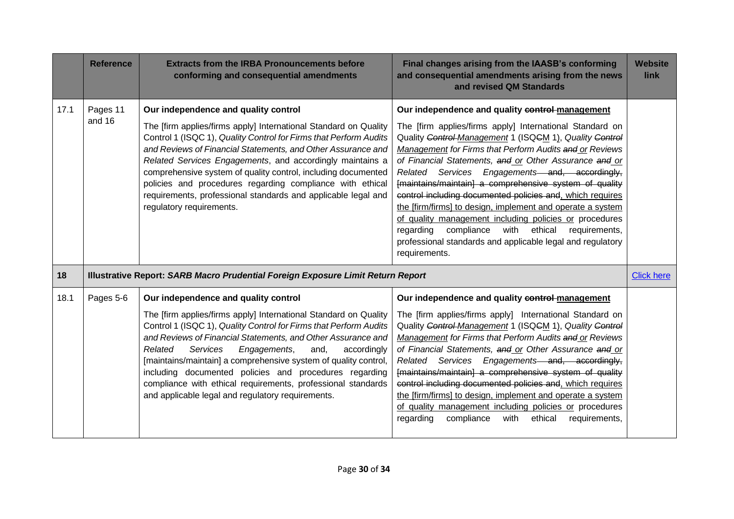|      | <b>Reference</b>   | <b>Extracts from the IRBA Pronouncements before</b><br>conforming and consequential amendments                                                                                                                                                                                                                                                                                                                                                                                                                                                                | Final changes arising from the IAASB's conforming<br>and consequential amendments arising from the news<br>and revised QM Standards                                                                                                                                                                                                                                                                                                                                                                                                                                                                                                                                                                                                        | <b>Website</b><br>link |
|------|--------------------|---------------------------------------------------------------------------------------------------------------------------------------------------------------------------------------------------------------------------------------------------------------------------------------------------------------------------------------------------------------------------------------------------------------------------------------------------------------------------------------------------------------------------------------------------------------|--------------------------------------------------------------------------------------------------------------------------------------------------------------------------------------------------------------------------------------------------------------------------------------------------------------------------------------------------------------------------------------------------------------------------------------------------------------------------------------------------------------------------------------------------------------------------------------------------------------------------------------------------------------------------------------------------------------------------------------------|------------------------|
| 17.1 | Pages 11<br>and 16 | Our independence and quality control<br>The [firm applies/firms apply] International Standard on Quality<br>Control 1 (ISQC 1), Quality Control for Firms that Perform Audits<br>and Reviews of Financial Statements, and Other Assurance and<br>Related Services Engagements, and accordingly maintains a<br>comprehensive system of quality control, including documented<br>policies and procedures regarding compliance with ethical<br>requirements, professional standards and applicable legal and<br>regulatory requirements.                         | Our independence and quality control-management<br>The [firm applies/firms apply] International Standard on<br>Quality Control Management 1 (ISQCM 1), Quality Control<br>Management for Firms that Perform Audits and or Reviews<br>of Financial Statements, and or Other Assurance and or<br>Related Services Engagements and, accordingly,<br>[maintains/maintain] a comprehensive system of quality<br>control including documented policies and, which requires<br>the [firm/firms] to design, implement and operate a system<br>of quality management including policies or procedures<br>ethical<br>regarding<br>compliance<br>with<br>requirements,<br>professional standards and applicable legal and regulatory<br>requirements. |                        |
| 18   |                    | <b>Illustrative Report: SARB Macro Prudential Foreign Exposure Limit Return Report</b>                                                                                                                                                                                                                                                                                                                                                                                                                                                                        |                                                                                                                                                                                                                                                                                                                                                                                                                                                                                                                                                                                                                                                                                                                                            | <b>Click here</b>      |
| 18.1 | Pages 5-6          | Our independence and quality control<br>The [firm applies/firms apply] International Standard on Quality<br>Control 1 (ISQC 1), Quality Control for Firms that Perform Audits<br>and Reviews of Financial Statements, and Other Assurance and<br>Services<br>Engagements,<br>Related<br>and,<br>accordingly<br>[maintains/maintain] a comprehensive system of quality control,<br>including documented policies and procedures regarding<br>compliance with ethical requirements, professional standards<br>and applicable legal and regulatory requirements. | Our independence and quality control-management<br>The [firm applies/firms apply] International Standard on<br>Quality Control Management 1 (ISQCM 1), Quality Control<br>Management for Firms that Perform Audits and or Reviews<br>of Financial Statements, and or Other Assurance and or<br>Services Engagements and, accordingly,<br>Related<br>[maintains/maintain] a comprehensive system of quality<br>control including documented policies and, which requires<br>the [firm/firms] to design, implement and operate a system<br>of quality management including policies or procedures<br>regarding<br>compliance<br>with<br>ethical<br>requirements,                                                                             |                        |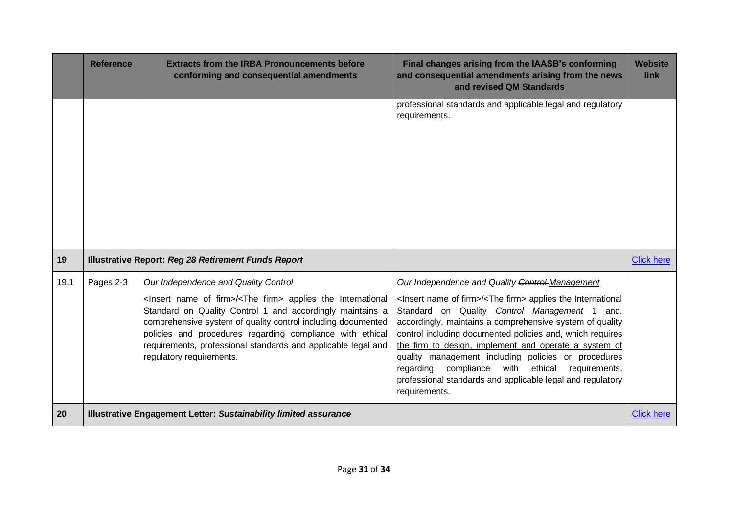|      | <b>Reference</b>                                                        | <b>Extracts from the IRBA Pronouncements before</b><br>conforming and consequential amendments                                                                                                                                                                                                                                                                                                                            | Final changes arising from the IAASB's conforming<br>and consequential amendments arising from the news<br>and revised QM Standards                                                                                                                                                                                                                                                                                                                                                                                                                                                          | <b>Website</b><br>link |
|------|-------------------------------------------------------------------------|---------------------------------------------------------------------------------------------------------------------------------------------------------------------------------------------------------------------------------------------------------------------------------------------------------------------------------------------------------------------------------------------------------------------------|----------------------------------------------------------------------------------------------------------------------------------------------------------------------------------------------------------------------------------------------------------------------------------------------------------------------------------------------------------------------------------------------------------------------------------------------------------------------------------------------------------------------------------------------------------------------------------------------|------------------------|
|      |                                                                         |                                                                                                                                                                                                                                                                                                                                                                                                                           | professional standards and applicable legal and regulatory<br>requirements.                                                                                                                                                                                                                                                                                                                                                                                                                                                                                                                  |                        |
| 19   |                                                                         | <b>Illustrative Report: Reg 28 Retirement Funds Report</b>                                                                                                                                                                                                                                                                                                                                                                |                                                                                                                                                                                                                                                                                                                                                                                                                                                                                                                                                                                              | <b>Click here</b>      |
| 19.1 | Pages 2-3                                                               | Our Independence and Quality Control<br><lnsert firm="" name="" of="">/<the firm=""> applies the International<br/>Standard on Quality Control 1 and accordingly maintains a<br/>comprehensive system of quality control including documented<br/>policies and procedures regarding compliance with ethical<br/>requirements, professional standards and applicable legal and<br/>regulatory requirements.</the></lnsert> | Our Independence and Quality Control-Management<br><lnsert firm="" name="" of="">/<the firm=""> applies the International<br/>Standard on Quality Control Management 1 and,<br/>accordingly, maintains a comprehensive system of quality<br/>control including documented policies and, which requires<br/>the firm to design, implement and operate a system of<br/>quality management including policies or procedures<br/>compliance<br/>ethical<br/>with<br/>requirements,<br/>regarding<br/>professional standards and applicable legal and regulatory<br/>requirements.</the></lnsert> |                        |
| 20   | <b>Illustrative Engagement Letter: Sustainability limited assurance</b> |                                                                                                                                                                                                                                                                                                                                                                                                                           |                                                                                                                                                                                                                                                                                                                                                                                                                                                                                                                                                                                              | <b>Click here</b>      |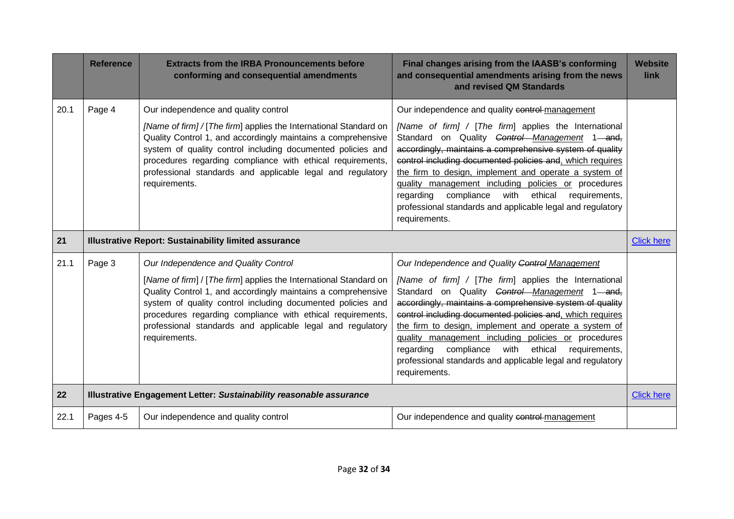|      | <b>Reference</b> | <b>Extracts from the IRBA Pronouncements before</b><br>conforming and consequential amendments                                                                                                                                                                                                                                                                                        | Final changes arising from the IAASB's conforming<br>and consequential amendments arising from the news<br>and revised QM Standards                                                                                                                                                                                                                                                                                                                                                                                                              | <b>Website</b><br>link |
|------|------------------|---------------------------------------------------------------------------------------------------------------------------------------------------------------------------------------------------------------------------------------------------------------------------------------------------------------------------------------------------------------------------------------|--------------------------------------------------------------------------------------------------------------------------------------------------------------------------------------------------------------------------------------------------------------------------------------------------------------------------------------------------------------------------------------------------------------------------------------------------------------------------------------------------------------------------------------------------|------------------------|
| 20.1 | Page 4           | Our independence and quality control<br>[Name of firm] / [The firm] applies the International Standard on<br>Quality Control 1, and accordingly maintains a comprehensive<br>system of quality control including documented policies and<br>procedures regarding compliance with ethical requirements,<br>professional standards and applicable legal and regulatory<br>requirements. | Our independence and quality control-management<br>[Name of firm] / [The firm] applies the International<br>Standard on Quality Control Management 1 and,<br>accordingly, maintains a comprehensive system of quality<br>control including documented policies and, which requires<br>the firm to design, implement and operate a system of<br>quality management including policies or procedures<br>with<br>ethical<br>requirements,<br>regarding<br>compliance<br>professional standards and applicable legal and regulatory<br>requirements. |                        |
| 21   |                  | <b>Illustrative Report: Sustainability limited assurance</b>                                                                                                                                                                                                                                                                                                                          |                                                                                                                                                                                                                                                                                                                                                                                                                                                                                                                                                  | <b>Click here</b>      |
| 21.1 | Page 3           | Our Independence and Quality Control<br>[Name of firm] / [The firm] applies the International Standard on<br>Quality Control 1, and accordingly maintains a comprehensive<br>system of quality control including documented policies and<br>procedures regarding compliance with ethical requirements,<br>professional standards and applicable legal and regulatory<br>requirements. | Our Independence and Quality Control Management<br>[Name of firm] / [The firm] applies the International<br>Standard on Quality Control Management 1 and,<br>accordingly, maintains a comprehensive system of quality<br>control including documented policies and, which requires<br>the firm to design, implement and operate a system of<br>quality management including policies or procedures<br>with<br>ethical<br>requirements,<br>regarding<br>compliance<br>professional standards and applicable legal and regulatory<br>requirements. |                        |
| 22   |                  | Illustrative Engagement Letter: Sustainability reasonable assurance                                                                                                                                                                                                                                                                                                                   |                                                                                                                                                                                                                                                                                                                                                                                                                                                                                                                                                  | <b>Click here</b>      |
| 22.1 | Pages 4-5        | Our independence and quality control                                                                                                                                                                                                                                                                                                                                                  | Our independence and quality control-management                                                                                                                                                                                                                                                                                                                                                                                                                                                                                                  |                        |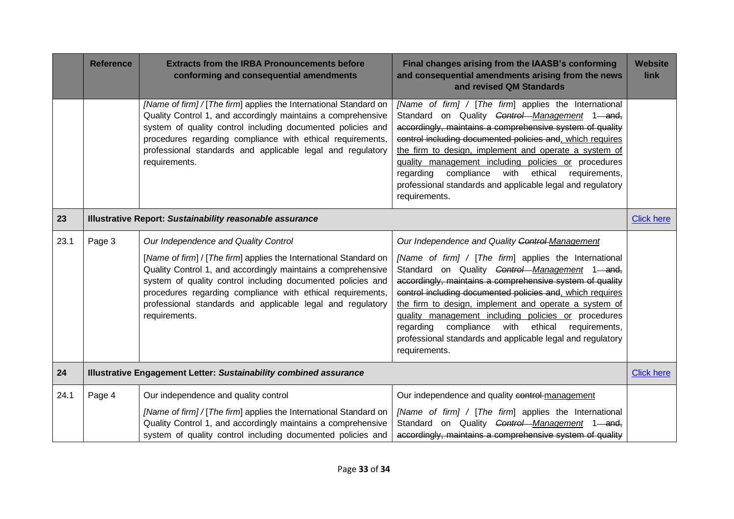|      | <b>Reference</b> | <b>Extracts from the IRBA Pronouncements before</b><br>conforming and consequential amendments                                                                                                                                                                                                                                                                                        | Final changes arising from the IAASB's conforming<br>and consequential amendments arising from the news<br>and revised QM Standards                                                                                                                                                                                                                                                                                                                                                                                                              | <b>Website</b><br>link |
|------|------------------|---------------------------------------------------------------------------------------------------------------------------------------------------------------------------------------------------------------------------------------------------------------------------------------------------------------------------------------------------------------------------------------|--------------------------------------------------------------------------------------------------------------------------------------------------------------------------------------------------------------------------------------------------------------------------------------------------------------------------------------------------------------------------------------------------------------------------------------------------------------------------------------------------------------------------------------------------|------------------------|
|      |                  | [Name of firm] / [The firm] applies the International Standard on<br>Quality Control 1, and accordingly maintains a comprehensive<br>system of quality control including documented policies and<br>procedures regarding compliance with ethical requirements,<br>professional standards and applicable legal and regulatory<br>requirements.                                         | [Name of firm] / [The firm] applies the International<br>Standard on Quality Control Management 1 and,<br>accordingly, maintains a comprehensive system of quality<br>control including documented policies and, which requires<br>the firm to design, implement and operate a system of<br>quality management including policies or procedures<br>compliance<br>with<br>ethical<br>requirements,<br>regarding<br>professional standards and applicable legal and regulatory<br>requirements.                                                    |                        |
| 23   |                  | Illustrative Report: Sustainability reasonable assurance                                                                                                                                                                                                                                                                                                                              |                                                                                                                                                                                                                                                                                                                                                                                                                                                                                                                                                  | <b>Click here</b>      |
| 23.1 | Page 3           | Our Independence and Quality Control<br>[Name of firm] / [The firm] applies the International Standard on<br>Quality Control 1, and accordingly maintains a comprehensive<br>system of quality control including documented policies and<br>procedures regarding compliance with ethical requirements,<br>professional standards and applicable legal and regulatory<br>requirements. | Our Independence and Quality Control Management<br>[Name of firm] / [The firm] applies the International<br>Standard on Quality Control Management 1 and,<br>accordingly, maintains a comprehensive system of quality<br>control including documented policies and, which requires<br>the firm to design, implement and operate a system of<br>quality management including policies or procedures<br>compliance<br>with<br>ethical<br>requirements,<br>regarding<br>professional standards and applicable legal and regulatory<br>requirements. |                        |
| 24   |                  | Illustrative Engagement Letter: Sustainability combined assurance                                                                                                                                                                                                                                                                                                                     |                                                                                                                                                                                                                                                                                                                                                                                                                                                                                                                                                  | <b>Click here</b>      |
| 24.1 | Page 4           | Our independence and quality control<br>[Name of firm] / [The firm] applies the International Standard on<br>Quality Control 1, and accordingly maintains a comprehensive<br>system of quality control including documented policies and                                                                                                                                              | Our independence and quality control-management<br>[Name of firm] / [The firm] applies the International<br>Standard on Quality Control Management 1 and,<br>accordingly, maintains a comprehensive system of quality                                                                                                                                                                                                                                                                                                                            |                        |